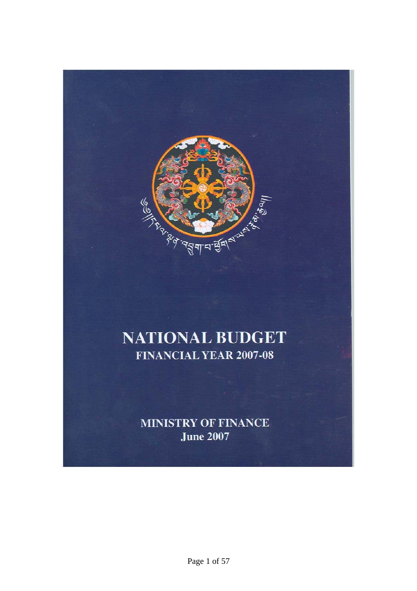

# **NATIONAL BUDGET FINANCIAL YEAR 2007-08**

**MINISTRY OF FINANCE June 2007**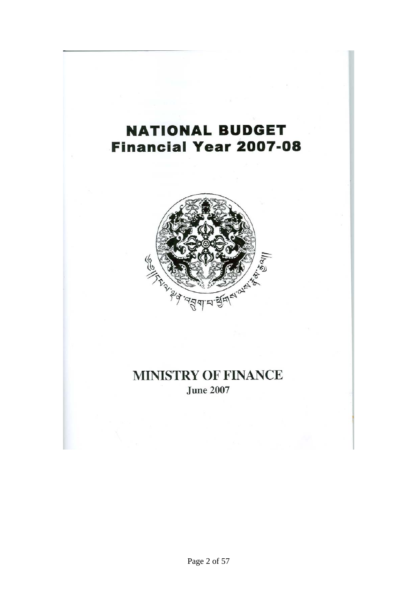# **NATIONAL BUDGET Financial Year 2007-08**



# **MINISTRY OF FINANCE June 2007**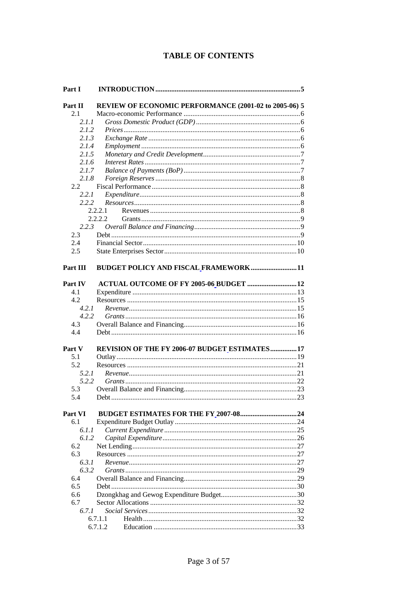# **TABLE OF CONTENTS**

| Part I         |                                                       |    |
|----------------|-------------------------------------------------------|----|
| Part II        | REVIEW OF ECONOMIC PERFORMANCE (2001-02 to 2005-06) 5 |    |
| 2.1            |                                                       |    |
| 2.1.1          |                                                       |    |
| 2.1.2          |                                                       |    |
| 2.1.3          |                                                       |    |
| 2.1.4          |                                                       |    |
| 2.1.5          |                                                       |    |
| 2.1.6          |                                                       |    |
| 2.1.7          |                                                       |    |
| 2.1.8          |                                                       |    |
| 2.2            |                                                       |    |
| 2.2.1          |                                                       |    |
|                |                                                       |    |
| 2.2.2          |                                                       |    |
|                | 2.2.2.1<br>2.2.2.2                                    |    |
|                |                                                       |    |
| 2.2.3          |                                                       |    |
| 2.3            |                                                       |    |
| 2.4            |                                                       |    |
| 2.5            |                                                       |    |
|                |                                                       |    |
| Part III       | BUDGET POLICY AND FISCAL FRAMEWORK11                  |    |
|                |                                                       |    |
| Part IV        | ACTUAL OUTCOME OF FY 2005-06_BUDGET  12               |    |
| 4.1            |                                                       |    |
| 4.2            |                                                       |    |
| 4.2.1          |                                                       |    |
| 4.2.2          |                                                       |    |
| 4.3            |                                                       |    |
| 4.4            |                                                       |    |
|                |                                                       |    |
| Part V         | REVISION OF THE FY 2006-07 BUDGET ESTIMATES 17        |    |
| 5.1<br>5.2     |                                                       |    |
|                |                                                       |    |
| 5.2.1<br>5.2.2 |                                                       |    |
|                |                                                       |    |
| 5.3            |                                                       |    |
| 5.4            |                                                       |    |
| Part VI        |                                                       |    |
| 6.1            |                                                       |    |
| 6.1.1          |                                                       |    |
| 6.1.2          |                                                       |    |
| 6.2            |                                                       |    |
| 6.3            |                                                       |    |
|                |                                                       |    |
| 6.3.1<br>6.3.2 |                                                       |    |
| 6.4            |                                                       |    |
|                |                                                       |    |
| 6.5            |                                                       |    |
| 6.6            |                                                       |    |
| 6.7            |                                                       |    |
| 6.7.1          |                                                       |    |
|                | 6.7.1.1<br>6.7.1.2                                    | 33 |
|                |                                                       |    |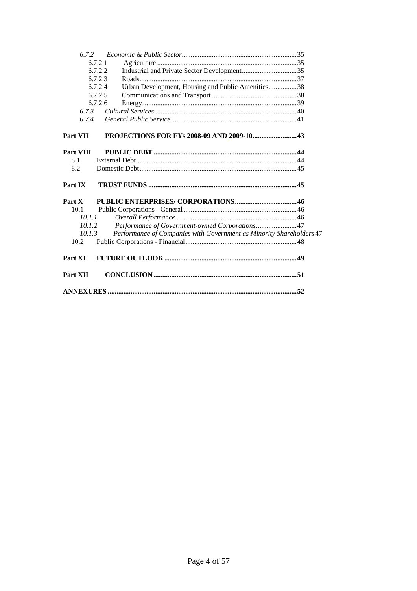| 6.7.2     |                                                                      |  |
|-----------|----------------------------------------------------------------------|--|
|           | 6.7.2.1                                                              |  |
|           | 6.7.2.2                                                              |  |
|           | 6.7.2.3                                                              |  |
|           | Urban Development, Housing and Public Amenities38<br>6.7.2.4         |  |
|           | 6.7.2.5                                                              |  |
|           | 6.7.2.6                                                              |  |
| 6.7.3     |                                                                      |  |
| 6.7.4     |                                                                      |  |
| Part VII  | PROJECTIONS FOR FYs 2008-09 AND 2009-10 43                           |  |
| Part VIII |                                                                      |  |
| 8.1       |                                                                      |  |
| 8.2       |                                                                      |  |
| Part IX   |                                                                      |  |
| Part X    |                                                                      |  |
| 10.1      |                                                                      |  |
| 10.1.1    |                                                                      |  |
| 10.1.2    | Performance of Government-owned Corporations47                       |  |
| 10.1.3    | Performance of Companies with Government as Minority Shareholders 47 |  |
| 10.2      |                                                                      |  |
| Part XI   |                                                                      |  |
| Part XII  |                                                                      |  |
|           |                                                                      |  |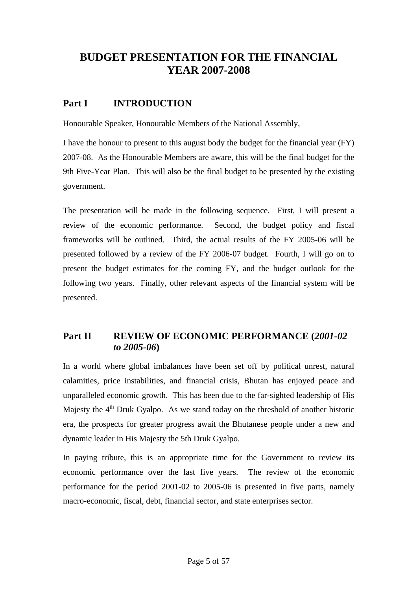# <span id="page-4-0"></span>**BUDGET PRESENTATION FOR THE FINANCIAL YEAR 2007-2008**

# **Part I INTRODUCTION**

Honourable Speaker, Honourable Members of the National Assembly,

I have the honour to present to this august body the budget for the financial year (FY) 2007-08. As the Honourable Members are aware, this will be the final budget for the 9th Five-Year Plan. This will also be the final budget to be presented by the existing government.

The presentation will be made in the following sequence. First, I will present a review of the economic performance. Second, the budget policy and fiscal frameworks will be outlined. Third, the actual results of the FY 2005-06 will be presented followed by a review of the FY 2006-07 budget. Fourth, I will go on to present the budget estimates for the coming FY, and the budget outlook for the following two years. Finally, other relevant aspects of the financial system will be presented.

# **Part II REVIEW OF ECONOMIC PERFORMANCE (***2001-02 to 2005-06***)**

In a world where global imbalances have been set off by political unrest, natural calamities, price instabilities, and financial crisis, Bhutan has enjoyed peace and unparalleled economic growth. This has been due to the far-sighted leadership of His Majesty the  $4<sup>th</sup>$  Druk Gyalpo. As we stand today on the threshold of another historic era, the prospects for greater progress await the Bhutanese people under a new and dynamic leader in His Majesty the 5th Druk Gyalpo.

In paying tribute, this is an appropriate time for the Government to review its economic performance over the last five years. The review of the economic performance for the period 2001-02 to 2005-06 is presented in five parts, namely macro-economic, fiscal, debt, financial sector, and state enterprises sector.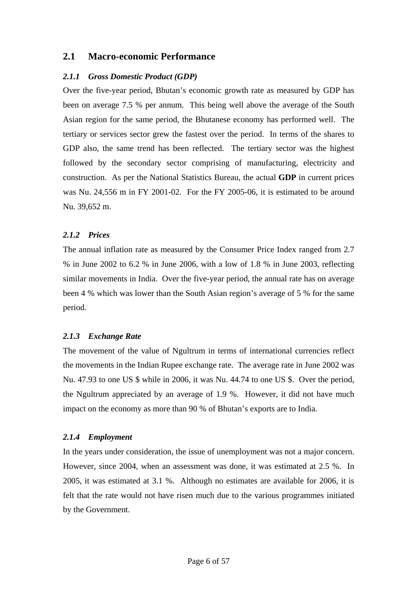### <span id="page-5-0"></span>**2.1 Macro-economic Performance**

#### *2.1.1 Gross Domestic Product (GDP)*

Over the five-year period, Bhutan's economic growth rate as measured by GDP has been on average 7.5 % per annum. This being well above the average of the South Asian region for the same period, the Bhutanese economy has performed well. The tertiary or services sector grew the fastest over the period. In terms of the shares to GDP also, the same trend has been reflected. The tertiary sector was the highest followed by the secondary sector comprising of manufacturing, electricity and construction. As per the National Statistics Bureau, the actual **GDP** in current prices was Nu. 24,556 m in FY 2001-02. For the FY 2005-06, it is estimated to be around Nu. 39,652 m.

#### *2.1.2 Prices*

The annual inflation rate as measured by the Consumer Price Index ranged from 2.7 % in June 2002 to 6.2 % in June 2006, with a low of 1.8 % in June 2003, reflecting similar movements in India. Over the five-year period, the annual rate has on average been 4 % which was lower than the South Asian region's average of 5 % for the same period.

#### *2.1.3 Exchange Rate*

The movement of the value of Ngultrum in terms of international currencies reflect the movements in the Indian Rupee exchange rate. The average rate in June 2002 was Nu. 47.93 to one US \$ while in 2006, it was Nu. 44.74 to one US \$. Over the period, the Ngultrum appreciated by an average of 1.9 %. However, it did not have much impact on the economy as more than 90 % of Bhutan's exports are to India.

#### *2.1.4 Employment*

In the years under consideration, the issue of unemployment was not a major concern. However, since 2004, when an assessment was done, it was estimated at 2.5 %. In 2005, it was estimated at 3.1 %. Although no estimates are available for 2006, it is felt that the rate would not have risen much due to the various programmes initiated by the Government.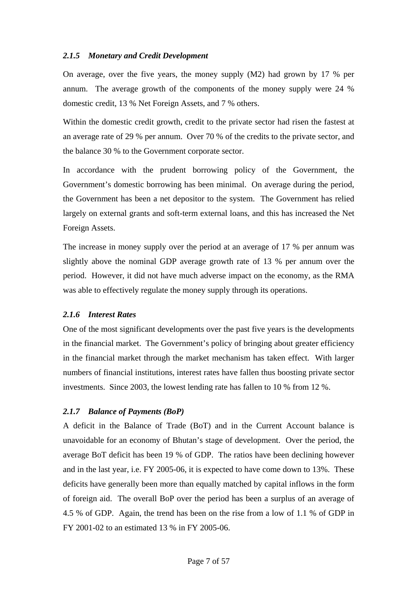#### <span id="page-6-0"></span>*2.1.5 Monetary and Credit Development*

On average, over the five years, the money supply (M2) had grown by 17 % per annum. The average growth of the components of the money supply were 24 % domestic credit, 13 % Net Foreign Assets, and 7 % others.

Within the domestic credit growth, credit to the private sector had risen the fastest at an average rate of 29 % per annum. Over 70 % of the credits to the private sector, and the balance 30 % to the Government corporate sector.

In accordance with the prudent borrowing policy of the Government, the Government's domestic borrowing has been minimal. On average during the period, the Government has been a net depositor to the system. The Government has relied largely on external grants and soft-term external loans, and this has increased the Net Foreign Assets.

The increase in money supply over the period at an average of 17 % per annum was slightly above the nominal GDP average growth rate of 13 % per annum over the period. However, it did not have much adverse impact on the economy, as the RMA was able to effectively regulate the money supply through its operations.

#### *2.1.6 Interest Rates*

One of the most significant developments over the past five years is the developments in the financial market. The Government's policy of bringing about greater efficiency in the financial market through the market mechanism has taken effect. With larger numbers of financial institutions, interest rates have fallen thus boosting private sector investments. Since 2003, the lowest lending rate has fallen to 10 % from 12 %.

#### *2.1.7 Balance of Payments (BoP)*

A deficit in the Balance of Trade (BoT) and in the Current Account balance is unavoidable for an economy of Bhutan's stage of development. Over the period, the average BoT deficit has been 19 % of GDP. The ratios have been declining however and in the last year, i.e. FY 2005-06, it is expected to have come down to 13%. These deficits have generally been more than equally matched by capital inflows in the form of foreign aid. The overall BoP over the period has been a surplus of an average of 4.5 % of GDP. Again, the trend has been on the rise from a low of 1.1 % of GDP in FY 2001-02 to an estimated 13 % in FY 2005-06.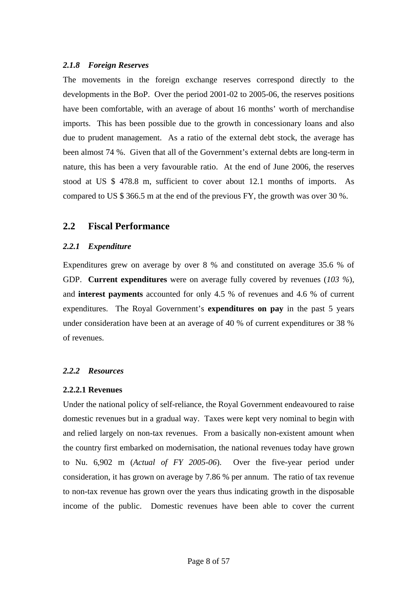#### <span id="page-7-0"></span>*2.1.8 Foreign Reserves*

The movements in the foreign exchange reserves correspond directly to the developments in the BoP. Over the period 2001-02 to 2005-06, the reserves positions have been comfortable, with an average of about 16 months' worth of merchandise imports. This has been possible due to the growth in concessionary loans and also due to prudent management. As a ratio of the external debt stock, the average has been almost 74 %. Given that all of the Government's external debts are long-term in nature, this has been a very favourable ratio. At the end of June 2006, the reserves stood at US \$ 478.8 m, sufficient to cover about 12.1 months of imports. As compared to US \$ 366.5 m at the end of the previous FY, the growth was over 30 %.

### **2.2 Fiscal Performance**

#### *2.2.1 Expenditure*

Expenditures grew on average by over 8 % and constituted on average 35.6 % of GDP. **Current expenditures** were on average fully covered by revenues (*103 %*), and **interest payments** accounted for only 4.5 % of revenues and 4.6 % of current expenditures. The Royal Government's **expenditures on pay** in the past 5 years under consideration have been at an average of 40 % of current expenditures or 38 % of revenues.

# *2.2.2 Resources*

#### **2.2.2.1 Revenues**

Under the national policy of self-reliance, the Royal Government endeavoured to raise domestic revenues but in a gradual way. Taxes were kept very nominal to begin with and relied largely on non-tax revenues. From a basically non-existent amount when the country first embarked on modernisation, the national revenues today have grown to Nu. 6,902 m (*Actual of FY 2005-06*). Over the five-year period under consideration, it has grown on average by 7.86 % per annum. The ratio of tax revenue to non-tax revenue has grown over the years thus indicating growth in the disposable income of the public. Domestic revenues have been able to cover the current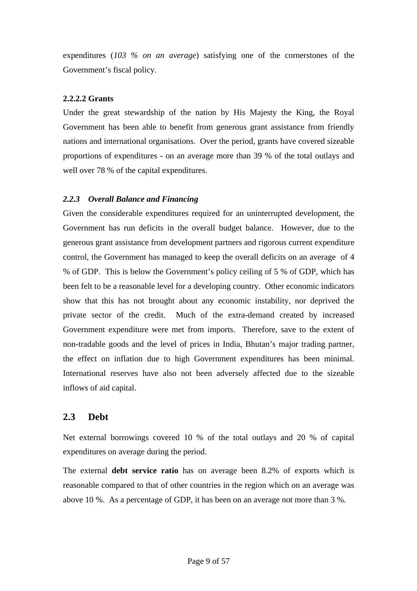<span id="page-8-0"></span>expenditures (*103 % on an average*) satisfying one of the cornerstones of the Government's fiscal policy.

### **2.2.2.2 Grants**

Under the great stewardship of the nation by His Majesty the King, the Royal Government has been able to benefit from generous grant assistance from friendly nations and international organisations. Over the period, grants have covered sizeable proportions of expenditures - on an average more than 39 % of the total outlays and well over 78 % of the capital expenditures.

### *2.2.3 Overall Balance and Financing*

Given the considerable expenditures required for an uninterrupted development, the Government has run deficits in the overall budget balance. However, due to the generous grant assistance from development partners and rigorous current expenditure control, the Government has managed to keep the overall deficits on an average of 4 % of GDP. This is below the Government's policy ceiling of 5 % of GDP, which has been felt to be a reasonable level for a developing country. Other economic indicators show that this has not brought about any economic instability, nor deprived the private sector of the credit. Much of the extra-demand created by increased Government expenditure were met from imports. Therefore, save to the extent of non-tradable goods and the level of prices in India, Bhutan's major trading partner, the effect on inflation due to high Government expenditures has been minimal. International reserves have also not been adversely affected due to the sizeable inflows of aid capital.

# **2.3 Debt**

Net external borrowings covered 10 % of the total outlays and 20 % of capital expenditures on average during the period.

The external **debt service ratio** has on average been 8.2% of exports which is reasonable compared to that of other countries in the region which on an average was above 10 %. As a percentage of GDP, it has been on an average not more than 3 %.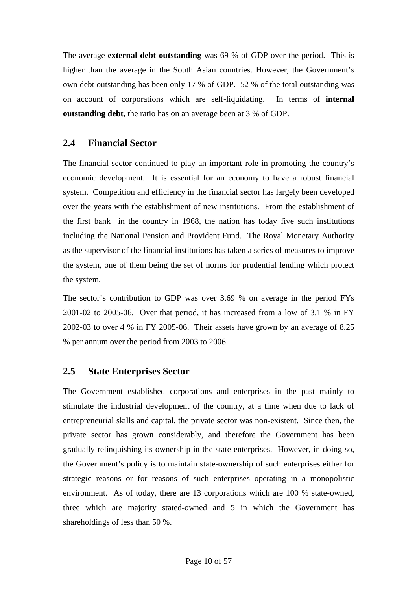<span id="page-9-0"></span>The average **external debt outstanding** was 69 % of GDP over the period. This is higher than the average in the South Asian countries. However, the Government's own debt outstanding has been only 17 % of GDP. 52 % of the total outstanding was on account of corporations which are self-liquidating. In terms of **internal outstanding debt**, the ratio has on an average been at 3 % of GDP.

### **2.4 Financial Sector**

The financial sector continued to play an important role in promoting the country's economic development. It is essential for an economy to have a robust financial system. Competition and efficiency in the financial sector has largely been developed over the years with the establishment of new institutions. From the establishment of the first bank in the country in 1968, the nation has today five such institutions including the National Pension and Provident Fund. The Royal Monetary Authority as the supervisor of the financial institutions has taken a series of measures to improve the system, one of them being the set of norms for prudential lending which protect the system.

The sector's contribution to GDP was over 3.69 % on average in the period FYs 2001-02 to 2005-06. Over that period, it has increased from a low of 3.1 % in FY 2002-03 to over 4 % in FY 2005-06. Their assets have grown by an average of 8.25 % per annum over the period from 2003 to 2006.

#### **2.5 State Enterprises Sector**

The Government established corporations and enterprises in the past mainly to stimulate the industrial development of the country, at a time when due to lack of entrepreneurial skills and capital, the private sector was non-existent. Since then, the private sector has grown considerably, and therefore the Government has been gradually relinquishing its ownership in the state enterprises. However, in doing so, the Government's policy is to maintain state-ownership of such enterprises either for strategic reasons or for reasons of such enterprises operating in a monopolistic environment. As of today, there are 13 corporations which are 100 % state-owned, three which are majority stated-owned and 5 in which the Government has shareholdings of less than 50 %.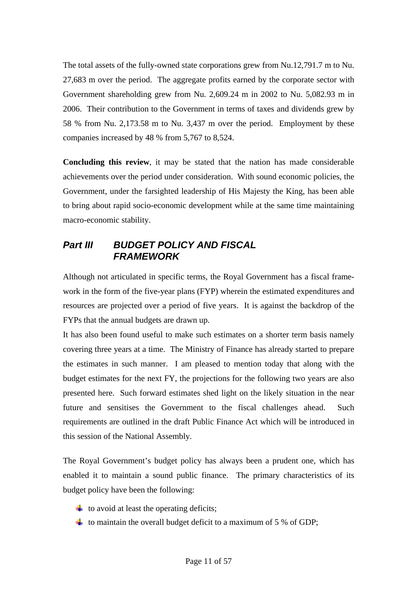<span id="page-10-0"></span>The total assets of the fully-owned state corporations grew from Nu.12,791.7 m to Nu. 27,683 m over the period. The aggregate profits earned by the corporate sector with Government shareholding grew from Nu. 2,609.24 m in 2002 to Nu. 5,082.93 m in 2006. Their contribution to the Government in terms of taxes and dividends grew by 58 % from Nu. 2,173.58 m to Nu. 3,437 m over the period. Employment by these companies increased by 48 % from 5,767 to 8,524.

**Concluding this review**, it may be stated that the nation has made considerable achievements over the period under consideration. With sound economic policies, the Government, under the farsighted leadership of His Majesty the King, has been able to bring about rapid socio-economic development while at the same time maintaining macro-economic stability.

# *Part III BUDGET POLICY AND FISCAL FRAMEWORK*

Although not articulated in specific terms, the Royal Government has a fiscal framework in the form of the five-year plans (FYP) wherein the estimated expenditures and resources are projected over a period of five years. It is against the backdrop of the FYPs that the annual budgets are drawn up.

It has also been found useful to make such estimates on a shorter term basis namely covering three years at a time. The Ministry of Finance has already started to prepare the estimates in such manner. I am pleased to mention today that along with the budget estimates for the next FY, the projections for the following two years are also presented here. Such forward estimates shed light on the likely situation in the near future and sensitises the Government to the fiscal challenges ahead. Such requirements are outlined in the draft Public Finance Act which will be introduced in this session of the National Assembly.

The Royal Government's budget policy has always been a prudent one, which has enabled it to maintain a sound public finance. The primary characteristics of its budget policy have been the following:

- $\ddot{\bullet}$  to avoid at least the operating deficits;
- $\ddot{\bullet}$  to maintain the overall budget deficit to a maximum of 5 % of GDP;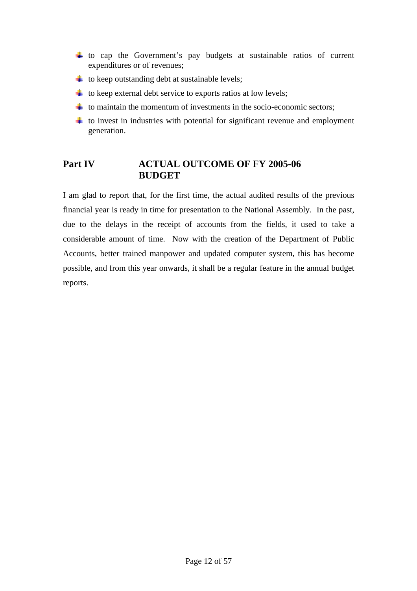- <span id="page-11-0"></span> $\downarrow$  to cap the Government's pay budgets at sustainable ratios of current expenditures or of revenues;
- $\ddot{\bullet}$  to keep outstanding debt at sustainable levels;
- $\downarrow$  to keep external debt service to exports ratios at low levels;
- $\ddot{\bullet}$  to maintain the momentum of investments in the socio-economic sectors;
- $\downarrow$  to invest in industries with potential for significant revenue and employment generation.

# Part IV **ACTUAL OUTCOME OF FY 2005-06 BUDGET**

I am glad to report that, for the first time, the actual audited results of the previous financial year is ready in time for presentation to the National Assembly. In the past, due to the delays in the receipt of accounts from the fields, it used to take a considerable amount of time. Now with the creation of the Department of Public Accounts, better trained manpower and updated computer system, this has become possible, and from this year onwards, it shall be a regular feature in the annual budget reports.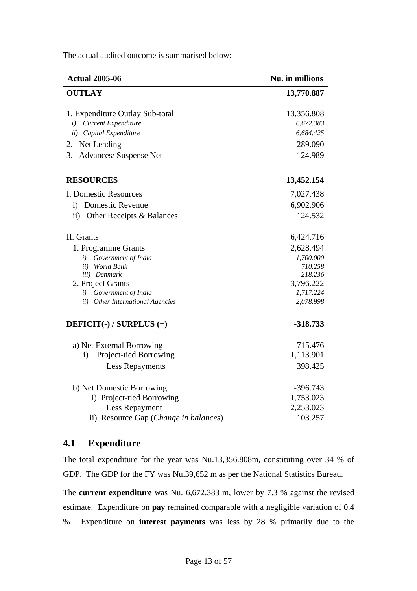| <b>Actual 2005-06</b>                   | Nu. in millions |
|-----------------------------------------|-----------------|
| <b>OUTLAY</b>                           | 13,770.887      |
| 1. Expenditure Outlay Sub-total         | 13,356.808      |
| i) Current Expenditure                  | 6,672.383       |
| ii) Capital Expenditure                 | 6,684.425       |
| 2. Net Lending                          | 289.090         |
| 3.<br>Advances/ Suspense Net            | 124.989         |
| <b>RESOURCES</b>                        | 13,452.154      |
| I. Domestic Resources                   | 7,027.438       |
| <b>Domestic Revenue</b><br>$\mathbf{i}$ | 6,902.906       |
| ii) Other Receipts & Balances           | 124.532         |
| II. Grants                              | 6,424.716       |
| 1. Programme Grants                     | 2,628.494       |
| i) Government of India                  | 1,700.000       |
| ii) World Bank                          | 710.258         |
| iii) Denmark                            | 218.236         |
| 2. Project Grants                       | 3,796.222       |
| i) Government of India                  | 1,717.224       |
| ii) Other International Agencies        | 2,078.998       |
| DEFICIT(-) / SURPLUS (+)                | -318.733        |
| a) Net External Borrowing               | 715.476         |
| Project-tied Borrowing<br>$\mathbf{i}$  | 1,113.901       |
| <b>Less Repayments</b>                  | 398.425         |
|                                         |                 |
| b) Net Domestic Borrowing               | $-396.743$      |
| i) Project-tied Borrowing               | 1,753.023       |
| Less Repayment                          | 2,253.023       |
| ii) Resource Gap (Change in balances)   | 103.257         |

<span id="page-12-0"></span>The actual audited outcome is summarised below:

# **4.1 Expenditure**

The total expenditure for the year was Nu.13,356.808m, constituting over 34 % of GDP. The GDP for the FY was Nu.39,652 m as per the National Statistics Bureau.

The **current expenditure** was Nu. 6,672.383 m, lower by 7.3 % against the revised estimate. Expenditure on **pay** remained comparable with a negligible variation of 0.4 %. Expenditure on **interest payments** was less by 28 % primarily due to the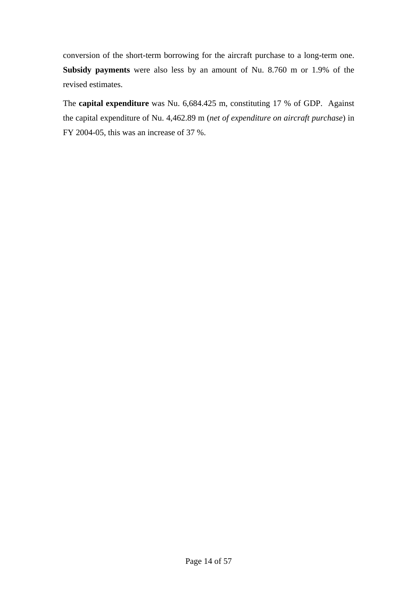conversion of the short-term borrowing for the aircraft purchase to a long-term one. **Subsidy payments** were also less by an amount of Nu. 8.760 m or 1.9% of the revised estimates.

The **capital expenditure** was Nu. 6,684.425 m, constituting 17 % of GDP. Against the capital expenditure of Nu. 4,462.89 m (*net of expenditure on aircraft purchase*) in FY 2004-05, this was an increase of 37 %.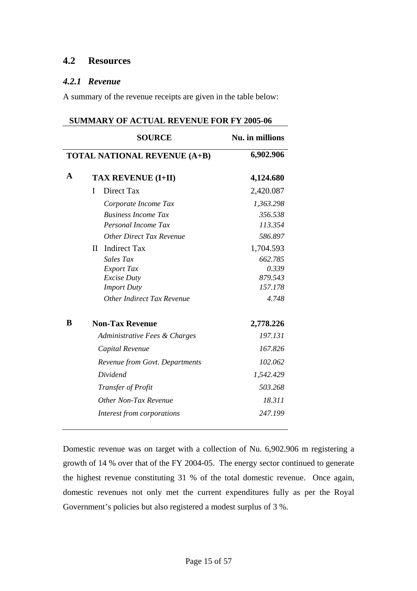# <span id="page-14-0"></span>**4.2 Resources**

### *4.2.1 Revenue*

A summary of the revenue receipts are given in the table below:

| <b>SUMMARY OF ACTUAL REVENUE FOR FY 2005-06</b> |                                     |           |  |
|-------------------------------------------------|-------------------------------------|-----------|--|
|                                                 | <b>SOURCE</b><br>Nu. in millions    |           |  |
|                                                 | <b>TOTAL NATIONAL REVENUE (A+B)</b> | 6,902.906 |  |
| $\mathbf{A}$                                    | <b>TAX REVENUE (I+II)</b>           | 4,124.680 |  |
|                                                 | Direct Tax<br>I                     | 2,420.087 |  |
|                                                 | Corporate Income Tax                | 1,363.298 |  |
|                                                 | <b>Business Income Tax</b>          | 356.538   |  |
|                                                 | Personal Income Tax                 | 113.354   |  |
|                                                 | <b>Other Direct Tax Revenue</b>     | 586.897   |  |
|                                                 | <b>Indirect Tax</b><br>$\mathbf{I}$ | 1,704.593 |  |
|                                                 | Sales Tax                           | 662.785   |  |
|                                                 | <b>Export Tax</b>                   | 0.339     |  |
|                                                 | <b>Excise Duty</b>                  | 879.543   |  |
|                                                 | <b>Import Duty</b>                  | 157.178   |  |
|                                                 | Other Indirect Tax Revenue          | 4.748     |  |
| B                                               | <b>Non-Tax Revenue</b>              | 2,778.226 |  |
|                                                 | Administrative Fees & Charges       | 197.131   |  |
|                                                 | Capital Revenue                     | 167.826   |  |
|                                                 | Revenue from Govt. Departments      | 102.062   |  |
|                                                 | Dividend                            | 1,542.429 |  |
|                                                 | Transfer of Profit                  | 503.268   |  |
|                                                 | Other Non-Tax Revenue               | 18.311    |  |
|                                                 | Interest from corporations          | 247.199   |  |

Domestic revenue was on target with a collection of Nu. 6,902.906 m registering a growth of 14 % over that of the FY 2004-05. The energy sector continued to generate the highest revenue constituting 31 % of the total domestic revenue. Once again, domestic revenues not only met the current expenditures fully as per the Royal Government's policies but also registered a modest surplus of 3 %.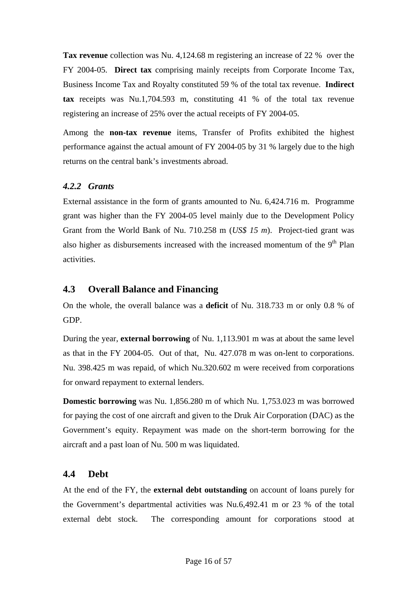<span id="page-15-0"></span>**Tax revenue** collection was Nu. 4,124.68 m registering an increase of 22 % over the FY 2004-05. **Direct tax** comprising mainly receipts from Corporate Income Tax, Business Income Tax and Royalty constituted 59 % of the total tax revenue. **Indirect tax** receipts was Nu.1,704.593 m, constituting 41 % of the total tax revenue registering an increase of 25% over the actual receipts of FY 2004-05.

Among the **non-tax revenue** items, Transfer of Profits exhibited the highest performance against the actual amount of FY 2004-05 by 31 % largely due to the high returns on the central bank's investments abroad.

# *4.2.2 Grants*

External assistance in the form of grants amounted to Nu. 6,424.716 m. Programme grant was higher than the FY 2004-05 level mainly due to the Development Policy Grant from the World Bank of Nu. 710.258 m (*US\$ 15 m*). Project-tied grant was also higher as disbursements increased with the increased momentum of the  $9<sup>th</sup>$  Plan activities.

# **4.3 Overall Balance and Financing**

On the whole, the overall balance was a **deficit** of Nu. 318.733 m or only 0.8 % of GDP.

During the year, **external borrowing** of Nu. 1,113.901 m was at about the same level as that in the FY 2004-05. Out of that, Nu. 427.078 m was on-lent to corporations. Nu. 398.425 m was repaid, of which Nu.320.602 m were received from corporations for onward repayment to external lenders.

**Domestic borrowing** was Nu. 1,856.280 m of which Nu. 1,753.023 m was borrowed for paying the cost of one aircraft and given to the Druk Air Corporation (DAC) as the Government's equity. Repayment was made on the short-term borrowing for the aircraft and a past loan of Nu. 500 m was liquidated.

# **4.4 Debt**

At the end of the FY, the **external debt outstanding** on account of loans purely for the Government's departmental activities was Nu.6,492.41 m or 23 % of the total external debt stock. The corresponding amount for corporations stood at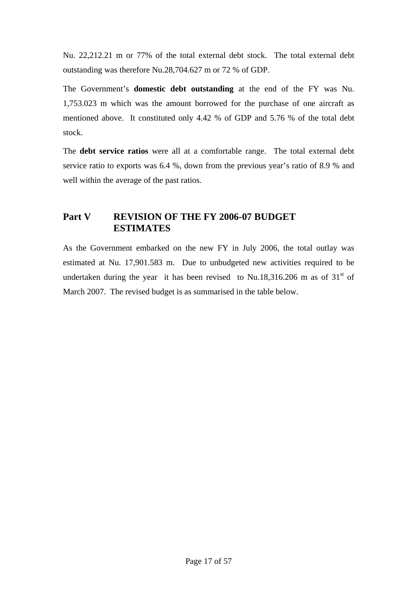<span id="page-16-0"></span>Nu. 22,212.21 m or 77% of the total external debt stock. The total external debt outstanding was therefore Nu.28,704.627 m or 72 % of GDP.

The Government's **domestic debt outstanding** at the end of the FY was Nu. 1,753.023 m which was the amount borrowed for the purchase of one aircraft as mentioned above. It constituted only 4.42 % of GDP and 5.76 % of the total debt stock.

The **debt service ratios** were all at a comfortable range. The total external debt service ratio to exports was 6.4 %, down from the previous year's ratio of 8.9 % and well within the average of the past ratios.

# **Part V REVISION OF THE FY 2006-07 BUDGET ESTIMATES**

As the Government embarked on the new FY in July 2006, the total outlay was estimated at Nu. 17,901.583 m. Due to unbudgeted new activities required to be undertaken during the year it has been revised to Nu.18,316.206 m as of  $31<sup>st</sup>$  of March 2007. The revised budget is as summarised in the table below.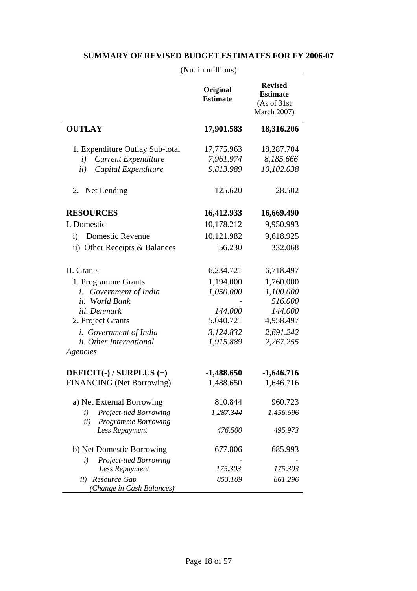|                                                            | (Nu. in millions)           |                                                                         |
|------------------------------------------------------------|-----------------------------|-------------------------------------------------------------------------|
|                                                            | Original<br><b>Estimate</b> | <b>Revised</b><br><b>Estimate</b><br>(As of 31st)<br><b>March 2007)</b> |
| <b>OUTLAY</b>                                              | 17,901.583                  | 18,316.206                                                              |
| 1. Expenditure Outlay Sub-total                            | 17,775.963                  | 18,287.704                                                              |
| <b>Current Expenditure</b><br>$\left(i\right)$             | 7,961.974                   | 8,185.666                                                               |
| ii)<br>Capital Expenditure                                 | 9,813.989                   | 10,102.038                                                              |
| Net Lending<br>2.                                          | 125.620                     | 28.502                                                                  |
| <b>RESOURCES</b>                                           | 16,412.933                  | 16,669.490                                                              |
| I. Domestic                                                | 10,178.212                  | 9,950.993                                                               |
| <b>Domestic Revenue</b><br>$\mathbf{i}$                    | 10,121.982                  | 9,618.925                                                               |
| ii) Other Receipts & Balances                              | 56.230                      | 332.068                                                                 |
| II. Grants                                                 | 6,234.721                   | 6,718.497                                                               |
| 1. Programme Grants                                        | 1,194.000                   | 1,760.000                                                               |
| Government of India<br>i.                                  | 1,050.000                   | 1,100.000                                                               |
| <b>World Bank</b><br>ii.                                   |                             | 516.000                                                                 |
| iii. Denmark                                               | 144.000                     | 144.000                                                                 |
| 2. Project Grants                                          | 5,040.721                   | 4,958.497                                                               |
| <i>i.</i> Government of India                              | 3,124.832                   | 2,691.242                                                               |
| ii. Other International<br>Agencies                        | 1,915.889                   | 2,267.255                                                               |
| DEFICIT(-) / SURPLUS (+)                                   | $-1,488.650$                | $-1,646.716$                                                            |
| <b>FINANCING</b> (Net Borrowing)                           | 1,488.650                   | 1,646.716                                                               |
| a) Net External Borrowing                                  | 810.844                     | 960.723                                                                 |
| Project-tied Borrowing<br>i)<br>Programme Borrowing<br>ii) | 1,287.344                   | 1,456.696                                                               |
| Less Repayment                                             | 476.500                     | 495.973                                                                 |
| b) Net Domestic Borrowing                                  | 677.806                     | 685.993                                                                 |
| Project-tied Borrowing<br>$\iota$                          |                             |                                                                         |
| Less Repayment                                             | 175.303                     | 175.303                                                                 |
| Resource Gap<br>ii)<br>(Change in Cash Balances)           | 853.109                     | 861.296                                                                 |

# **SUMMARY OF REVISED BUDGET ESTIMATES FOR FY 2006-07**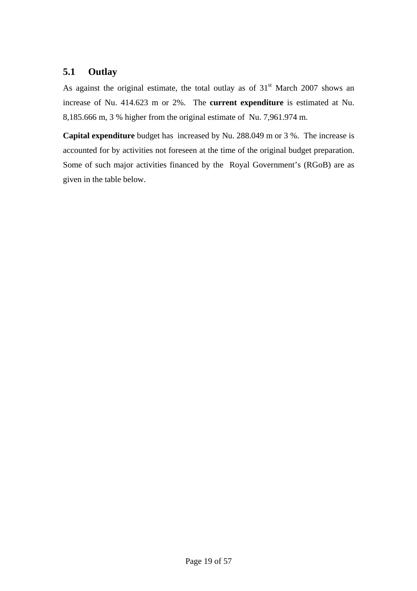# <span id="page-18-0"></span>**5.1 Outlay**

As against the original estimate, the total outlay as of  $31<sup>st</sup>$  March 2007 shows an increase of Nu. 414.623 m or 2%. The **current expenditure** is estimated at Nu. 8,185.666 m, 3 % higher from the original estimate of Nu. 7,961.974 m.

**Capital expenditure** budget has increased by Nu. 288.049 m or 3 %. The increase is accounted for by activities not foreseen at the time of the original budget preparation. Some of such major activities financed by the Royal Government's (RGoB) are as given in the table below.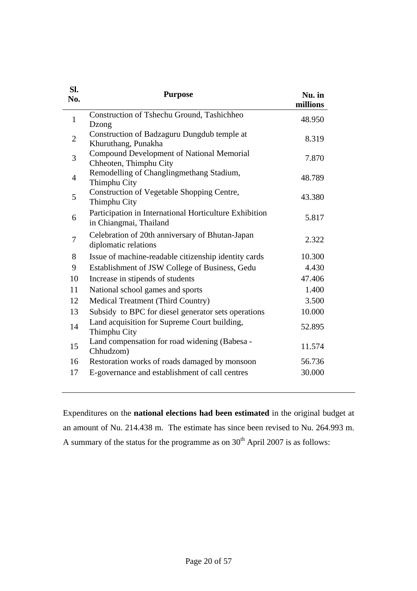| SI.<br>No.     | <b>Purpose</b>                                                                   | Nu. in<br>millions |
|----------------|----------------------------------------------------------------------------------|--------------------|
| $\mathbf{1}$   | Construction of Tshechu Ground, Tashichheo<br>Dzong                              | 48.950             |
| $\overline{2}$ | Construction of Badzaguru Dungdub temple at<br>Khuruthang, Punakha               | 8.319              |
| 3              | Compound Development of National Memorial<br>Chheoten, Thimphu City              | 7.870              |
| $\overline{4}$ | Remodelling of Changlingmethang Stadium,<br>Thimphu City                         | 48.789             |
| 5              | Construction of Vegetable Shopping Centre,<br>Thimphu City                       | 43.380             |
| 6              | Participation in International Horticulture Exhibition<br>in Chiangmai, Thailand | 5.817              |
| 7              | Celebration of 20th anniversary of Bhutan-Japan<br>diplomatic relations          | 2.322              |
| 8              | Issue of machine-readable citizenship identity cards                             | 10.300             |
| 9              | Establishment of JSW College of Business, Gedu                                   | 4.430              |
| 10             | Increase in stipends of students                                                 | 47.406             |
| 11             | National school games and sports                                                 | 1.400              |
| 12             | Medical Treatment (Third Country)                                                | 3.500              |
| 13             | Subsidy to BPC for diesel generator sets operations                              | 10.000             |
| 14             | Land acquisition for Supreme Court building,<br>Thimphu City                     | 52.895             |
| 15             | Land compensation for road widening (Babesa -<br>Chhudzom)                       | 11.574             |
| 16             | Restoration works of roads damaged by monsoon                                    | 56.736             |
| 17             | E-governance and establishment of call centres                                   | 30.000             |

Expenditures on the **national elections had been estimated** in the original budget at an amount of Nu. 214.438 m. The estimate has since been revised to Nu. 264.993 m. A summary of the status for the programme as on  $30<sup>th</sup>$  April 2007 is as follows: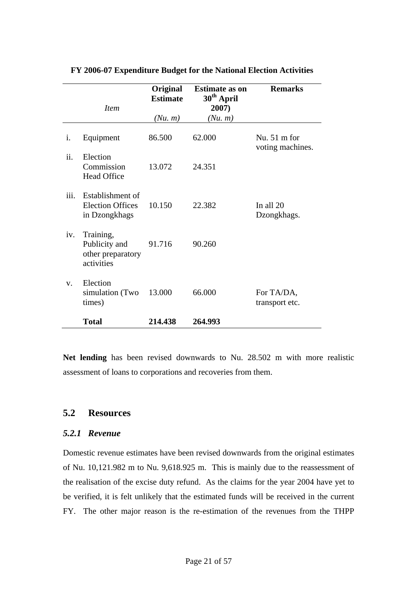|             | <i>Item</i>                                                   | Original<br><b>Estimate</b><br>(Nu, m) | <b>Estimate as on</b><br>30 <sup>th</sup> April<br>2007)<br>(Nu, m) | <b>Remarks</b>                             |
|-------------|---------------------------------------------------------------|----------------------------------------|---------------------------------------------------------------------|--------------------------------------------|
| i.          | Equipment                                                     | 86.500                                 | 62.000                                                              | Nu. $51 \text{ m}$ for<br>voting machines. |
| ii.         | Election<br>Commission<br><b>Head Office</b>                  | 13.072                                 | 24.351                                                              |                                            |
| iii.        | Establishment of<br><b>Election Offices</b><br>in Dzongkhags  | 10.150                                 | 22.382                                                              | In all 20<br>Dzongkhags.                   |
| iv.         | Training,<br>Publicity and<br>other preparatory<br>activities | 91.716                                 | 90.260                                                              |                                            |
| $V_{\rm r}$ | Election<br>simulation (Two<br>times)                         | 13.000                                 | 66.000                                                              | For TA/DA,<br>transport etc.               |
|             | <b>Total</b>                                                  | 214.438                                | 264.993                                                             |                                            |

#### <span id="page-20-0"></span>**FY 2006-07 Expenditure Budget for the National Election Activities**

**Net lending** has been revised downwards to Nu. 28.502 m with more realistic assessment of loans to corporations and recoveries from them.

# **5.2 Resources**

#### *5.2.1 Revenue*

Domestic revenue estimates have been revised downwards from the original estimates of Nu. 10,121.982 m to Nu. 9,618.925 m. This is mainly due to the reassessment of the realisation of the excise duty refund. As the claims for the year 2004 have yet to be verified, it is felt unlikely that the estimated funds will be received in the current FY. The other major reason is the re-estimation of the revenues from the THPP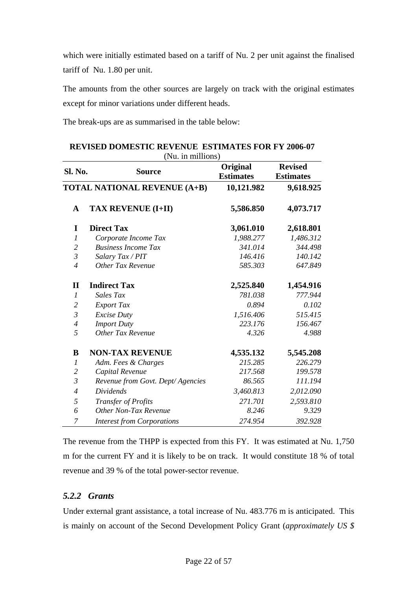<span id="page-21-0"></span>which were initially estimated based on a tariff of Nu. 2 per unit against the finalised tariff of Nu. 1.80 per unit.

The amounts from the other sources are largely on track with the original estimates except for minor variations under different heads.

The break-ups are as summarised in the table below:

| <b>Sl. No.</b>   | <b>Source</b>                       | Original<br><b>Estimates</b> | <b>Revised</b><br><b>Estimates</b> |
|------------------|-------------------------------------|------------------------------|------------------------------------|
|                  | <b>TOTAL NATIONAL REVENUE (A+B)</b> | 10,121.982                   | 9,618.925                          |
| $\mathbf A$      | <b>TAX REVENUE (I+II)</b>           | 5,586.850                    | 4,073.717                          |
| I                | <b>Direct Tax</b>                   | 3,061.010                    | 2,618.801                          |
| 1                | Corporate Income Tax                | 1,988.277                    | 1,486.312                          |
| $\overline{2}$   | <b>Business Income Tax</b>          | 341.014                      | 344.498                            |
| $\mathfrak{Z}$   | Salary Tax / PIT                    | 146.416                      | 140.142                            |
| $\overline{4}$   | Other Tax Revenue                   | 585.303                      | 647.849                            |
| $\mathbf{I}$     | <b>Indirect Tax</b>                 | 2,525.840                    | 1,454.916                          |
| $\boldsymbol{l}$ | Sales Tax                           | 781.038                      | 777.944                            |
| $\overline{2}$   | <b>Export Tax</b>                   | 0.894                        | 0.102                              |
| $\mathfrak{Z}$   | <b>Excise Duty</b>                  | 1,516.406                    | 515.415                            |
| $\overline{4}$   | <b>Import Duty</b>                  | 223.176                      | 156.467                            |
| 5                | <b>Other Tax Revenue</b>            | 4.326                        | 4.988                              |
| B                | <b>NON-TAX REVENUE</b>              | 4,535.132                    | 5,545.208                          |
| $\mathfrak{1}$   | Adm. Fees & Charges                 | 215.285                      | 226.279                            |
| $\overline{2}$   | Capital Revenue                     | 217.568                      | 199.578                            |
| $\mathfrak{Z}$   | Revenue from Govt. Dept/Agencies    | 86.565                       | 111.194                            |
| $\overline{4}$   | <b>Dividends</b>                    | 3,460.813                    | 2,012.090                          |
| 5                | Transfer of Profits                 | 271.701                      | 2,593.810                          |
| 6                | Other Non-Tax Revenue               | 8.246                        | 9.329                              |
| 7                | <b>Interest from Corporations</b>   | 274.954                      | 392.928                            |

| <b>REVISED DOMESTIC REVENUE ESTIMATES FOR FY 2006-07</b> |  |
|----------------------------------------------------------|--|
| $(NII$ in millione)                                      |  |

The revenue from the THPP is expected from this FY. It was estimated at Nu. 1,750 m for the current FY and it is likely to be on track. It would constitute 18 % of total revenue and 39 % of the total power-sector revenue.

#### *5.2.2 Grants*

Under external grant assistance, a total increase of Nu. 483.776 m is anticipated. This is mainly on account of the Second Development Policy Grant (*approximately US \$*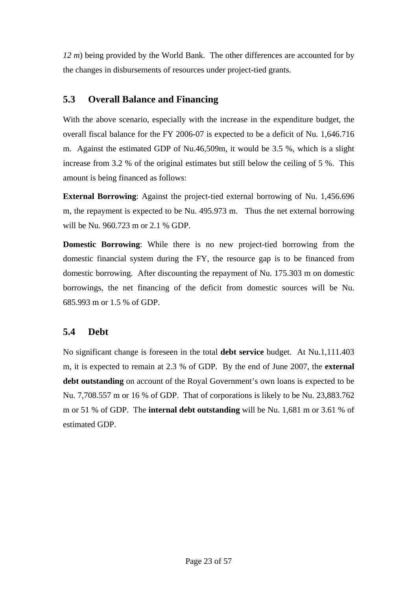<span id="page-22-0"></span>*12 m*) being provided by the World Bank. The other differences are accounted for by the changes in disbursements of resources under project-tied grants.

# **5.3 Overall Balance and Financing**

With the above scenario, especially with the increase in the expenditure budget, the overall fiscal balance for the FY 2006-07 is expected to be a deficit of Nu. 1,646.716 m. Against the estimated GDP of Nu.46,509m, it would be 3.5 %, which is a slight increase from 3.2 % of the original estimates but still below the ceiling of 5 %. This amount is being financed as follows:

**External Borrowing**: Against the project-tied external borrowing of Nu. 1,456.696 m, the repayment is expected to be Nu. 495.973 m. Thus the net external borrowing will be Nu. 960.723 m or 2.1 % GDP.

**Domestic Borrowing**: While there is no new project-tied borrowing from the domestic financial system during the FY, the resource gap is to be financed from domestic borrowing. After discounting the repayment of Nu. 175.303 m on domestic borrowings, the net financing of the deficit from domestic sources will be Nu. 685.993 m or 1.5 % of GDP.

# **5.4 Debt**

No significant change is foreseen in the total **debt service** budget. At Nu.1,111.403 m, it is expected to remain at 2.3 % of GDP. By the end of June 2007, the **external debt outstanding** on account of the Royal Government's own loans is expected to be Nu. 7,708.557 m or 16 % of GDP. That of corporations is likely to be Nu. 23,883.762 m or 51 % of GDP. The **internal debt outstanding** will be Nu. 1,681 m or 3.61 % of estimated GDP.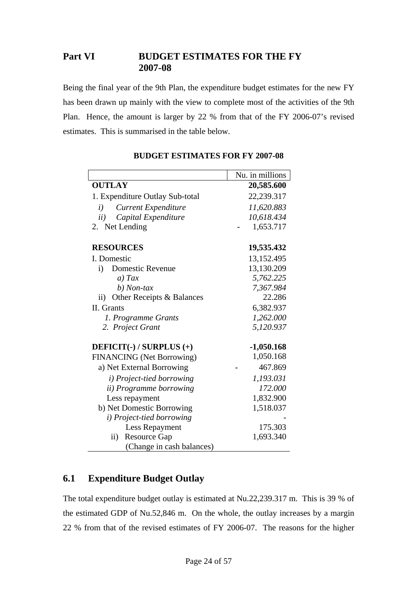# <span id="page-23-0"></span>**Part VI BUDGET ESTIMATES FOR THE FY 2007-08**

Being the final year of the 9th Plan, the expenditure budget estimates for the new FY has been drawn up mainly with the view to complete most of the activities of the 9th Plan. Hence, the amount is larger by 22 % from that of the FY 2006-07's revised estimates. This is summarised in the table below.

|                                  | Nu. in millions |
|----------------------------------|-----------------|
| <b>OUTLAY</b>                    | 20,585.600      |
| 1. Expenditure Outlay Sub-total  | 22,239.317      |
| <b>Current Expenditure</b><br>i) | 11,620.883      |
| ii)<br>Capital Expenditure       | 10,618.434      |
| 2. Net Lending                   | 1,653.717       |
| <b>RESOURCES</b>                 | 19,535.432      |
| I. Domestic                      | 13,152.495      |
| <b>Domestic Revenue</b><br>i)    | 13,130.209      |
| $a)$ Tax                         | 5,762.225       |
| b) Non-tax                       | 7,367.984       |
| ii) Other Receipts & Balances    | 22.286          |
| II. Grants                       | 6,382.937       |
| 1. Programme Grants              | 1,262.000       |
| 2. Project Grant                 | 5,120.937       |
| DEFICIT(-) / SURPLUS (+)         | $-1,050.168$    |
| <b>FINANCING</b> (Net Borrowing) | 1,050.168       |
| a) Net External Borrowing        | 467.869         |
| i) Project-tied borrowing        | 1,193.031       |
| <i>ii</i> ) Programme borrowing  | 172.000         |
| Less repayment                   | 1,832.900       |
| b) Net Domestic Borrowing        | 1,518.037       |
| i) Project-tied borrowing        |                 |
| Less Repayment                   | 175.303         |
| <b>Resource Gap</b><br>$\rm ii)$ | 1,693.340       |
| (Change in cash balances)        |                 |

# **BUDGET ESTIMATES FOR FY 2007-08**

# **6.1 Expenditure Budget Outlay**

The total expenditure budget outlay is estimated at Nu.22,239.317 m. This is 39 % of the estimated GDP of Nu.52,846 m. On the whole, the outlay increases by a margin 22 % from that of the revised estimates of FY 2006-07. The reasons for the higher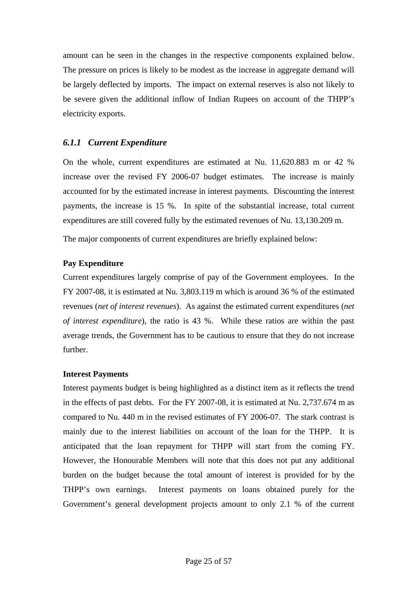<span id="page-24-0"></span>amount can be seen in the changes in the respective components explained below. The pressure on prices is likely to be modest as the increase in aggregate demand will be largely deflected by imports. The impact on external reserves is also not likely to be severe given the additional inflow of Indian Rupees on account of the THPP's electricity exports.

### *6.1.1 Current Expenditure*

On the whole, current expenditures are estimated at Nu. 11,620.883 m or 42 % increase over the revised FY 2006-07 budget estimates. The increase is mainly accounted for by the estimated increase in interest payments. Discounting the interest payments, the increase is 15 %. In spite of the substantial increase, total current expenditures are still covered fully by the estimated revenues of Nu. 13,130.209 m.

The major components of current expenditures are briefly explained below:

#### **Pay Expenditure**

Current expenditures largely comprise of pay of the Government employees. In the FY 2007-08, it is estimated at Nu. 3,803.119 m which is around 36 % of the estimated revenues (*net of interest revenues*). As against the estimated current expenditures (*net of interest expenditure*), the ratio is 43 %. While these ratios are within the past average trends, the Government has to be cautious to ensure that they do not increase further.

#### **Interest Payments**

Interest payments budget is being highlighted as a distinct item as it reflects the trend in the effects of past debts. For the FY 2007-08, it is estimated at Nu. 2,737.674 m as compared to Nu. 440 m in the revised estimates of FY 2006-07. The stark contrast is mainly due to the interest liabilities on account of the loan for the THPP. It is anticipated that the loan repayment for THPP will start from the coming FY. However, the Honourable Members will note that this does not put any additional burden on the budget because the total amount of interest is provided for by the THPP's own earnings. Interest payments on loans obtained purely for the Government's general development projects amount to only 2.1 % of the current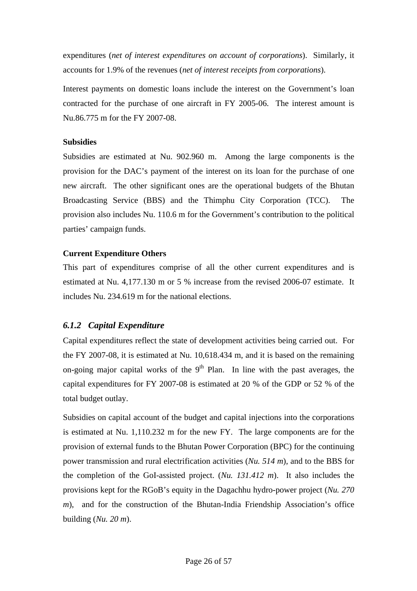<span id="page-25-0"></span>expenditures (*net of interest expenditures on account of corporations*). Similarly, it accounts for 1.9% of the revenues (*net of interest receipts from corporations*).

Interest payments on domestic loans include the interest on the Government's loan contracted for the purchase of one aircraft in FY 2005-06. The interest amount is Nu.86.775 m for the FY 2007-08.

#### **Subsidies**

Subsidies are estimated at Nu. 902.960 m. Among the large components is the provision for the DAC's payment of the interest on its loan for the purchase of one new aircraft. The other significant ones are the operational budgets of the Bhutan Broadcasting Service (BBS) and the Thimphu City Corporation (TCC). The provision also includes Nu. 110.6 m for the Government's contribution to the political parties' campaign funds.

#### **Current Expenditure Others**

This part of expenditures comprise of all the other current expenditures and is estimated at Nu. 4,177.130 m or 5 % increase from the revised 2006-07 estimate. It includes Nu. 234.619 m for the national elections.

#### *6.1.2 Capital Expenditure*

Capital expenditures reflect the state of development activities being carried out. For the FY 2007-08, it is estimated at Nu. 10,618.434 m, and it is based on the remaining on-going major capital works of the  $9<sup>th</sup>$  Plan. In line with the past averages, the capital expenditures for FY 2007-08 is estimated at 20 % of the GDP or 52 % of the total budget outlay.

Subsidies on capital account of the budget and capital injections into the corporations is estimated at Nu. 1,110.232 m for the new FY. The large components are for the provision of external funds to the Bhutan Power Corporation (BPC) for the continuing power transmission and rural electrification activities (*Nu. 514 m*), and to the BBS for the completion of the GoI-assisted project. (*Nu. 131.412 m*). It also includes the provisions kept for the RGoB's equity in the Dagachhu hydro-power project (*Nu. 270 m*), and for the construction of the Bhutan-India Friendship Association's office building (*Nu. 20 m*).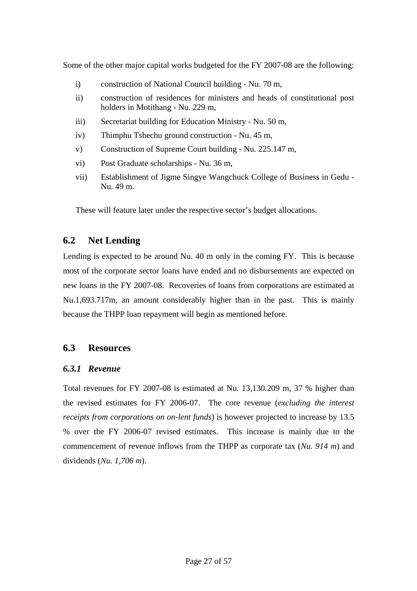<span id="page-26-0"></span>Some of the other major capital works budgeted for the FY 2007-08 are the following:

- i) construction of National Council building Nu. 70 m,
- ii) construction of residences for ministers and heads of constitutional post holders in Motithang - Nu. 229 m,
- iii) Secretariat building for Education Ministry Nu. 50 m,
- iv) Thimphu Tshechu ground construction Nu. 45 m,
- v) Construction of Supreme Court building Nu. 225.147 m,
- vi) Post Graduate scholarships Nu. 36 m,
- vii) Establishment of Jigme Singye Wangchuck College of Business in Gedu Nu. 49 m.

These will feature later under the respective sector's budget allocations.

# **6.2 Net Lending**

Lending is expected to be around Nu. 40 m only in the coming FY. This is because most of the corporate sector loans have ended and no disbursements are expected on new loans in the FY 2007-08. Recoveries of loans from corporations are estimated at Nu.1,693.717m, an amount considerably higher than in the past. This is mainly because the THPP loan repayment will begin as mentioned before.

# **6.3 Resources**

#### *6.3.1 Revenue*

Total revenues for FY 2007-08 is estimated at Nu. 13,130.209 m, 37 % higher than the revised estimates for FY 2006-07. The core revenue (*excluding the interest receipts from corporations on on-lent funds*) is however projected to increase by 13.5 % over the FY 2006-07 revised estimates. This increase is mainly due to the commencement of revenue inflows from the THPP as corporate tax (*Nu. 914 m*) and dividends (*Nu. 1,706 m*).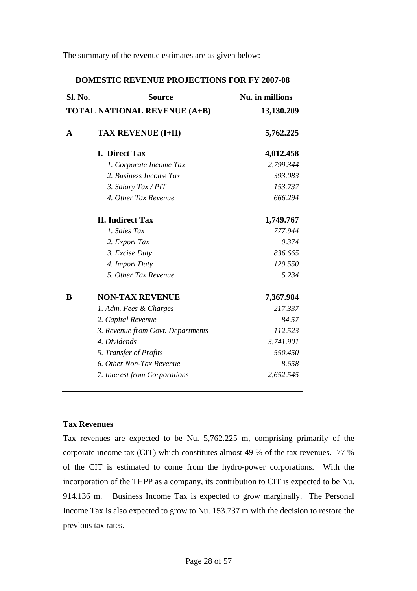The summary of the revenue estimates are as given below:

| <b>Sl. No.</b> | <b>Source</b>                       | Nu. in millions |
|----------------|-------------------------------------|-----------------|
|                | <b>TOTAL NATIONAL REVENUE (A+B)</b> | 13,130.209      |
| A              | <b>TAX REVENUE (I+II)</b>           | 5,762.225       |
|                | <b>I.</b> Direct Tax                | 4,012.458       |
|                | 1. Corporate Income Tax             | 2,799.344       |
|                | 2. Business Income Tax              | 393.083         |
|                | 3. Salary Tax / PIT                 | 153.737         |
|                | 4. Other Tax Revenue                | 666.294         |
|                | <b>II.</b> Indirect Tax             | 1,749.767       |
|                | 1. Sales Tax                        | 777.944         |
|                | 2. Export Tax                       | 0.374           |
|                | 3. Excise Duty                      | 836.665         |
|                | 4. Import Duty                      | 129.550         |
|                | 5. Other Tax Revenue                | 5.234           |
| B              | <b>NON-TAX REVENUE</b>              | 7,367.984       |
|                | 1. Adm. Fees & Charges              | 217.337         |
|                | 2. Capital Revenue                  | 84.57           |
|                | 3. Revenue from Govt. Departments   | 112.523         |
|                | 4. Dividends                        | 3,741.901       |
|                | 5. Transfer of Profits              | 550.450         |
|                | 6. Other Non-Tax Revenue            | 8.658           |
|                | 7. Interest from Corporations       | 2,652.545       |

**DOMESTIC REVENUE PROJECTIONS FOR FY 2007-08** 

#### **Tax Revenues**

Tax revenues are expected to be Nu. 5,762.225 m, comprising primarily of the corporate income tax (CIT) which constitutes almost 49 % of the tax revenues. 77 % of the CIT is estimated to come from the hydro-power corporations. With the incorporation of the THPP as a company, its contribution to CIT is expected to be Nu. 914.136 m. Business Income Tax is expected to grow marginally. The Personal Income Tax is also expected to grow to Nu. 153.737 m with the decision to restore the previous tax rates.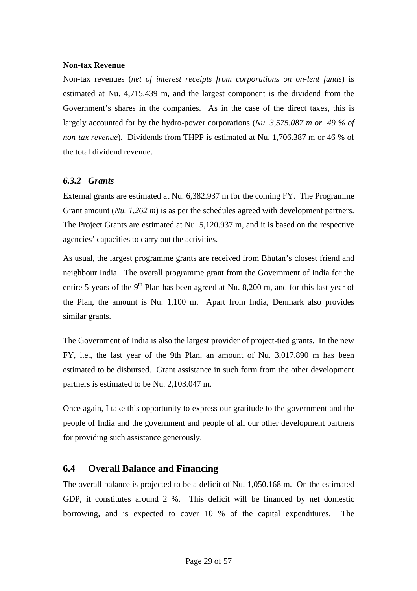#### <span id="page-28-0"></span>**Non-tax Revenue**

Non-tax revenues (*net of interest receipts from corporations on on-lent funds*) is estimated at Nu. 4,715.439 m, and the largest component is the dividend from the Government's shares in the companies. As in the case of the direct taxes, this is largely accounted for by the hydro-power corporations (*Nu. 3,575.087 m or 49 % of non-tax revenue*). Dividends from THPP is estimated at Nu. 1,706.387 m or 46 % of the total dividend revenue.

#### *6.3.2 Grants*

External grants are estimated at Nu. 6,382.937 m for the coming FY. The Programme Grant amount (*Nu. 1,262 m*) is as per the schedules agreed with development partners. The Project Grants are estimated at Nu. 5,120.937 m, and it is based on the respective agencies' capacities to carry out the activities.

As usual, the largest programme grants are received from Bhutan's closest friend and neighbour India. The overall programme grant from the Government of India for the entire 5-years of the  $9<sup>th</sup>$  Plan has been agreed at Nu. 8,200 m, and for this last year of the Plan, the amount is Nu. 1,100 m. Apart from India, Denmark also provides similar grants.

The Government of India is also the largest provider of project-tied grants. In the new FY, i.e., the last year of the 9th Plan, an amount of Nu. 3,017.890 m has been estimated to be disbursed. Grant assistance in such form from the other development partners is estimated to be Nu. 2,103.047 m.

Once again, I take this opportunity to express our gratitude to the government and the people of India and the government and people of all our other development partners for providing such assistance generously.

# **6.4 Overall Balance and Financing**

The overall balance is projected to be a deficit of Nu. 1,050.168 m. On the estimated GDP, it constitutes around 2 %. This deficit will be financed by net domestic borrowing, and is expected to cover 10 % of the capital expenditures. The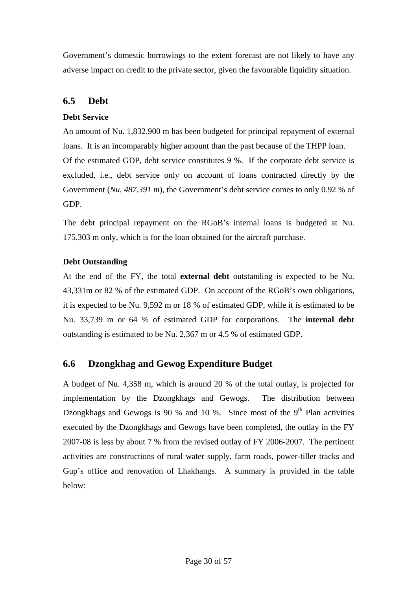<span id="page-29-0"></span>Government's domestic borrowings to the extent forecast are not likely to have any adverse impact on credit to the private sector, given the favourable liquidity situation.

# **6.5 Debt**

#### **Debt Service**

An amount of Nu. 1,832.900 m has been budgeted for principal repayment of external loans. It is an incomparably higher amount than the past because of the THPP loan. Of the estimated GDP, debt service constitutes 9 %. If the corporate debt service is excluded, i.e., debt service only on account of loans contracted directly by the Government (*Nu. 487.391 m*), the Government's debt service comes to only 0.92 % of GDP.

The debt principal repayment on the RGoB's internal loans is budgeted at Nu. 175.303 m only, which is for the loan obtained for the aircraft purchase.

### **Debt Outstanding**

At the end of the FY, the total **external debt** outstanding is expected to be Nu. 43,331m or 82 % of the estimated GDP. On account of the RGoB's own obligations, it is expected to be Nu. 9,592 m or 18 % of estimated GDP, while it is estimated to be Nu. 33,739 m or 64 % of estimated GDP for corporations. The **internal debt** outstanding is estimated to be Nu. 2,367 m or 4.5 % of estimated GDP.

# **6.6 Dzongkhag and Gewog Expenditure Budget**

A budget of Nu. 4,358 m, which is around 20 % of the total outlay, is projected for implementation by the Dzongkhags and Gewogs. The distribution between Dzongkhags and Gewogs is 90 % and 10 %. Since most of the  $9<sup>th</sup>$  Plan activities executed by the Dzongkhags and Gewogs have been completed, the outlay in the FY 2007-08 is less by about 7 % from the revised outlay of FY 2006-2007. The pertinent activities are constructions of rural water supply, farm roads, power-tiller tracks and Gup's office and renovation of Lhakhangs. A summary is provided in the table below: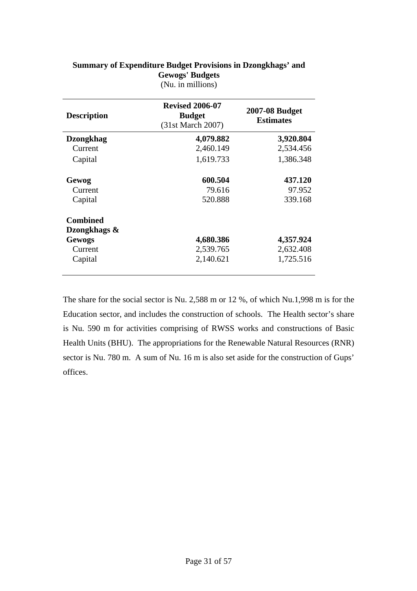| <b>Description</b> | <b>Revised 2006-07</b><br><b>Budget</b><br>(31st March 2007) | <b>2007-08 Budget</b><br><b>Estimates</b> |  |
|--------------------|--------------------------------------------------------------|-------------------------------------------|--|
| <b>Dzongkhag</b>   | 4,079.882                                                    | 3,920.804                                 |  |
| Current            | 2,460.149                                                    | 2,534.456                                 |  |
| Capital            | 1,619.733                                                    | 1,386.348                                 |  |
| Gewog              | 600.504                                                      | 437.120                                   |  |
| Current            | 79.616                                                       | 97.952                                    |  |
| Capital            | 520.888                                                      | 339.168                                   |  |
| <b>Combined</b>    |                                                              |                                           |  |
| Dzongkhags &       |                                                              |                                           |  |
| <b>Gewogs</b>      | 4,680.386                                                    | 4,357.924                                 |  |
| Current            | 2,539.765                                                    | 2,632.408                                 |  |
| Capital            | 2,140.621                                                    | 1,725.516                                 |  |

#### **Summary of Expenditure Budget Provisions in Dzongkhags' and Gewogs' Budgets**  (Nu. in millions)

The share for the social sector is Nu. 2,588 m or 12 %, of which Nu.1,998 m is for the Education sector, and includes the construction of schools. The Health sector's share is Nu. 590 m for activities comprising of RWSS works and constructions of Basic Health Units (BHU). The appropriations for the Renewable Natural Resources (RNR) sector is Nu. 780 m. A sum of Nu. 16 m is also set aside for the construction of Gups' offices.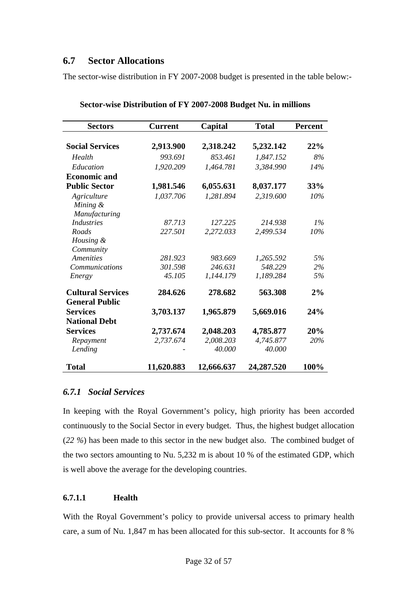# <span id="page-31-0"></span>**6.7 Sector Allocations**

The sector-wise distribution in FY 2007-2008 budget is presented in the table below:-

| <b>Sectors</b>           | <b>Current</b> | Capital    | <b>Total</b> | <b>Percent</b> |
|--------------------------|----------------|------------|--------------|----------------|
|                          |                |            |              |                |
| <b>Social Services</b>   | 2,913.900      | 2,318.242  | 5,232.142    | 22%            |
| Health                   | 993.691        | 853.461    | 1,847.152    | 8%             |
| Education                | 1,920.209      | 1,464.781  | 3,384.990    | 14%            |
| <b>Economic and</b>      |                |            |              |                |
| <b>Public Sector</b>     | 1,981.546      | 6,055.631  | 8,037.177    | 33%            |
| Agriculture              | 1,037.706      | 1,281.894  | 2,319.600    | 10%            |
| Mining &                 |                |            |              |                |
| Manufacturing            |                |            |              |                |
| <b>Industries</b>        | 87.713         | 127.225    | 214.938      | $1\%$          |
| Roads                    | 227.501        | 2,272.033  | 2,499.534    | $10\%$         |
| Housing &                |                |            |              |                |
| Community                |                |            |              |                |
| Amenities                | 281.923        | 983.669    | 1,265.592    | 5%             |
| <b>Communications</b>    | 301.598        | 246.631    | 548.229      | 2%             |
| Energy                   | 45.105         | 1,144.179  | 1,189.284    | 5%             |
| <b>Cultural Services</b> | 284.626        | 278.682    | 563.308      | 2%             |
| <b>General Public</b>    |                |            |              |                |
| <b>Services</b>          | 3,703.137      | 1,965.879  | 5,669.016    | 24%            |
| <b>National Debt</b>     |                |            |              |                |
| <b>Services</b>          | 2,737.674      | 2,048.203  | 4,785.877    | 20%            |
| Repayment                | 2,737.674      | 2,008.203  | 4,745.877    | 20%            |
| Lending                  |                | 40.000     | 40.000       |                |
| Total                    | 11,620.883     | 12,666.637 | 24,287.520   | 100%           |

#### *6.7.1 Social Services*

In keeping with the Royal Government's policy, high priority has been accorded continuously to the Social Sector in every budget. Thus, the highest budget allocation (*22 %*) has been made to this sector in the new budget also. The combined budget of the two sectors amounting to Nu. 5,232 m is about 10 % of the estimated GDP, which is well above the average for the developing countries.

#### **6.7.1.1 Health**

With the Royal Government's policy to provide universal access to primary health care, a sum of Nu. 1,847 m has been allocated for this sub-sector. It accounts for 8 %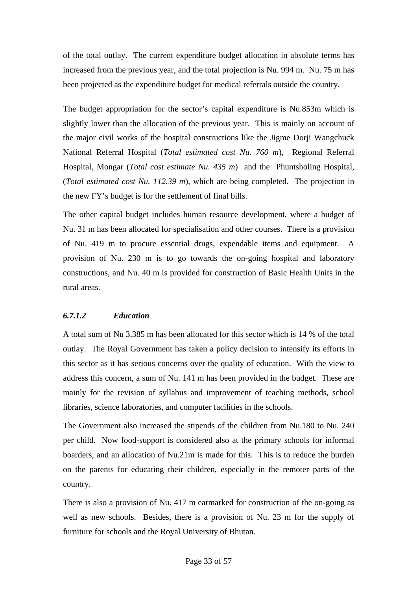<span id="page-32-0"></span>of the total outlay. The current expenditure budget allocation in absolute terms has increased from the previous year, and the total projection is Nu. 994 m. Nu. 75 m has been projected as the expenditure budget for medical referrals outside the country.

The budget appropriation for the sector's capital expenditure is Nu.853m which is slightly lower than the allocation of the previous year. This is mainly on account of the major civil works of the hospital constructions like the Jigme Dorji Wangchuck National Referral Hospital (*Total estimated cost Nu. 760 m*), Regional Referral Hospital, Mongar (*Total cost estimate Nu. 435 m*) and the Phuntsholing Hospital, (*Total estimated cost Nu. 112.39 m*), which are being completed. The projection in the new FY's budget is for the settlement of final bills.

The other capital budget includes human resource development, where a budget of Nu. 31 m has been allocated for specialisation and other courses. There is a provision of Nu. 419 m to procure essential drugs, expendable items and equipment. A provision of Nu. 230 m is to go towards the on-going hospital and laboratory constructions, and Nu. 40 m is provided for construction of Basic Health Units in the rural areas.

#### *6.7.1.2 Education*

A total sum of Nu 3,385 m has been allocated for this sector which is 14 % of the total outlay. The Royal Government has taken a policy decision to intensify its efforts in this sector as it has serious concerns over the quality of education. With the view to address this concern, a sum of Nu. 141 m has been provided in the budget. These are mainly for the revision of syllabus and improvement of teaching methods, school libraries, science laboratories, and computer facilities in the schools.

The Government also increased the stipends of the children from Nu.180 to Nu. 240 per child. Now food-support is considered also at the primary schools for informal boarders, and an allocation of Nu.21m is made for this. This is to reduce the burden on the parents for educating their children, especially in the remoter parts of the country.

There is also a provision of Nu. 417 m earmarked for construction of the on-going as well as new schools. Besides, there is a provision of Nu. 23 m for the supply of furniture for schools and the Royal University of Bhutan.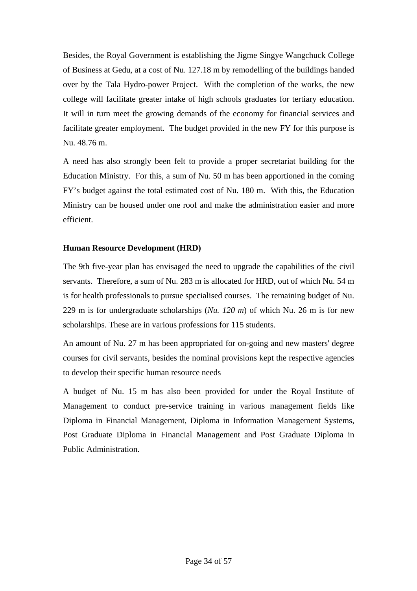Besides, the Royal Government is establishing the Jigme Singye Wangchuck College of Business at Gedu, at a cost of Nu. 127.18 m by remodelling of the buildings handed over by the Tala Hydro-power Project. With the completion of the works, the new college will facilitate greater intake of high schools graduates for tertiary education. It will in turn meet the growing demands of the economy for financial services and facilitate greater employment. The budget provided in the new FY for this purpose is Nu. 48.76 m.

A need has also strongly been felt to provide a proper secretariat building for the Education Ministry. For this, a sum of Nu. 50 m has been apportioned in the coming FY's budget against the total estimated cost of Nu. 180 m. With this, the Education Ministry can be housed under one roof and make the administration easier and more efficient.

#### **Human Resource Development (HRD)**

The 9th five-year plan has envisaged the need to upgrade the capabilities of the civil servants. Therefore, a sum of Nu. 283 m is allocated for HRD, out of which Nu. 54 m is for health professionals to pursue specialised courses. The remaining budget of Nu. 229 m is for undergraduate scholarships (*Nu. 120 m*) of which Nu. 26 m is for new scholarships. These are in various professions for 115 students.

An amount of Nu. 27 m has been appropriated for on-going and new masters' degree courses for civil servants, besides the nominal provisions kept the respective agencies to develop their specific human resource needs

A budget of Nu. 15 m has also been provided for under the Royal Institute of Management to conduct pre-service training in various management fields like Diploma in Financial Management, Diploma in Information Management Systems, Post Graduate Diploma in Financial Management and Post Graduate Diploma in Public Administration.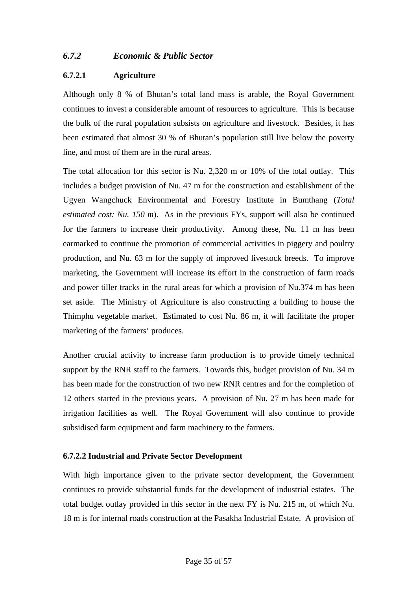### <span id="page-34-0"></span>*6.7.2 Economic & Public Sector*

#### **6.7.2.1 Agriculture**

Although only 8 % of Bhutan's total land mass is arable, the Royal Government continues to invest a considerable amount of resources to agriculture. This is because the bulk of the rural population subsists on agriculture and livestock. Besides, it has been estimated that almost 30 % of Bhutan's population still live below the poverty line, and most of them are in the rural areas.

The total allocation for this sector is Nu. 2,320 m or 10% of the total outlay. This includes a budget provision of Nu. 47 m for the construction and establishment of the Ugyen Wangchuck Environmental and Forestry Institute in Bumthang (*Total estimated cost: Nu. 150 m*). As in the previous FYs, support will also be continued for the farmers to increase their productivity. Among these, Nu. 11 m has been earmarked to continue the promotion of commercial activities in piggery and poultry production, and Nu. 63 m for the supply of improved livestock breeds. To improve marketing, the Government will increase its effort in the construction of farm roads and power tiller tracks in the rural areas for which a provision of Nu.374 m has been set aside. The Ministry of Agriculture is also constructing a building to house the Thimphu vegetable market. Estimated to cost Nu. 86 m, it will facilitate the proper marketing of the farmers' produces.

Another crucial activity to increase farm production is to provide timely technical support by the RNR staff to the farmers. Towards this, budget provision of Nu. 34 m has been made for the construction of two new RNR centres and for the completion of 12 others started in the previous years. A provision of Nu. 27 m has been made for irrigation facilities as well. The Royal Government will also continue to provide subsidised farm equipment and farm machinery to the farmers.

#### **6.7.2.2 Industrial and Private Sector Development**

With high importance given to the private sector development, the Government continues to provide substantial funds for the development of industrial estates. The total budget outlay provided in this sector in the next FY is Nu. 215 m, of which Nu. 18 m is for internal roads construction at the Pasakha Industrial Estate. A provision of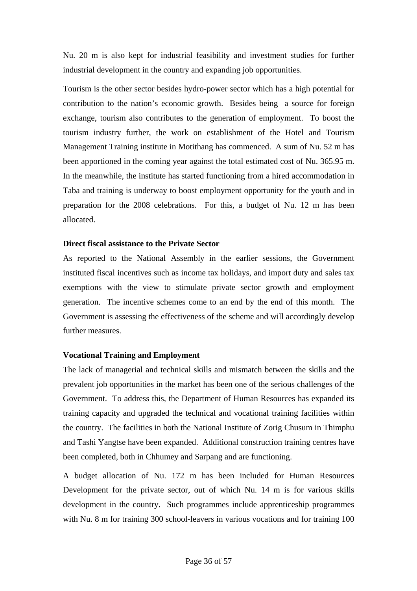Nu. 20 m is also kept for industrial feasibility and investment studies for further industrial development in the country and expanding job opportunities.

Tourism is the other sector besides hydro-power sector which has a high potential for contribution to the nation's economic growth. Besides being a source for foreign exchange, tourism also contributes to the generation of employment. To boost the tourism industry further, the work on establishment of the Hotel and Tourism Management Training institute in Motithang has commenced. A sum of Nu. 52 m has been apportioned in the coming year against the total estimated cost of Nu. 365.95 m. In the meanwhile, the institute has started functioning from a hired accommodation in Taba and training is underway to boost employment opportunity for the youth and in preparation for the 2008 celebrations. For this, a budget of Nu. 12 m has been allocated.

#### **Direct fiscal assistance to the Private Sector**

As reported to the National Assembly in the earlier sessions, the Government instituted fiscal incentives such as income tax holidays, and import duty and sales tax exemptions with the view to stimulate private sector growth and employment generation. The incentive schemes come to an end by the end of this month. The Government is assessing the effectiveness of the scheme and will accordingly develop further measures.

#### **Vocational Training and Employment**

The lack of managerial and technical skills and mismatch between the skills and the prevalent job opportunities in the market has been one of the serious challenges of the Government. To address this, the Department of Human Resources has expanded its training capacity and upgraded the technical and vocational training facilities within the country. The facilities in both the National Institute of Zorig Chusum in Thimphu and Tashi Yangtse have been expanded. Additional construction training centres have been completed, both in Chhumey and Sarpang and are functioning.

A budget allocation of Nu. 172 m has been included for Human Resources Development for the private sector, out of which Nu. 14 m is for various skills development in the country. Such programmes include apprenticeship programmes with Nu. 8 m for training 300 school-leavers in various vocations and for training 100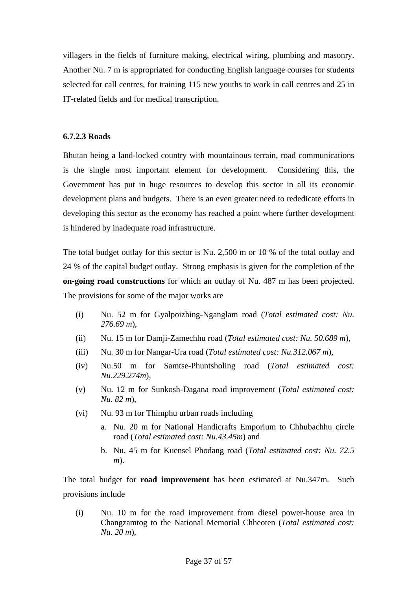<span id="page-36-0"></span>villagers in the fields of furniture making, electrical wiring, plumbing and masonry. Another Nu. 7 m is appropriated for conducting English language courses for students selected for call centres, for training 115 new youths to work in call centres and 25 in IT-related fields and for medical transcription.

#### **6.7.2.3 Roads**

Bhutan being a land-locked country with mountainous terrain, road communications is the single most important element for development. Considering this, the Government has put in huge resources to develop this sector in all its economic development plans and budgets. There is an even greater need to rededicate efforts in developing this sector as the economy has reached a point where further development is hindered by inadequate road infrastructure.

The total budget outlay for this sector is Nu. 2,500 m or 10 % of the total outlay and 24 % of the capital budget outlay. Strong emphasis is given for the completion of the **on-going road constructions** for which an outlay of Nu. 487 m has been projected. The provisions for some of the major works are

- (i) Nu. 52 m for Gyalpoizhing-Nganglam road (*Total estimated cost: Nu. 276.69 m*),
- (ii) Nu. 15 m for Damji-Zamechhu road (*Total estimated cost: Nu. 50.689 m*),
- (iii) Nu. 30 m for Nangar-Ura road (*Total estimated cost: Nu.312.067 m*),
- (iv) Nu.50 m for Samtse-Phuntsholing road (*Total estimated cost: Nu.229.274m*),
- (v) Nu. 12 m for Sunkosh-Dagana road improvement (*Total estimated cost: Nu. 82 m*),
- (vi) Nu. 93 m for Thimphu urban roads including
	- a. Nu. 20 m for National Handicrafts Emporium to Chhubachhu circle road (*Total estimated cost: Nu.43.45m*) and
	- b. Nu. 45 m for Kuensel Phodang road (*Total estimated cost: Nu. 72.5 m*).

The total budget for **road improvement** has been estimated at Nu.347m. Such provisions include

(i) Nu. 10 m for the road improvement from diesel power-house area in Changzamtog to the National Memorial Chheoten (*Total estimated cost: Nu. 20 m*),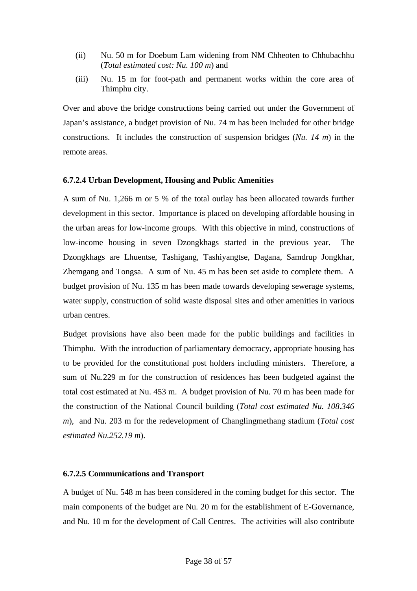- <span id="page-37-0"></span>(ii) Nu. 50 m for Doebum Lam widening from NM Chheoten to Chhubachhu (*Total estimated cost: Nu. 100 m*) and
- (iii) Nu. 15 m for foot-path and permanent works within the core area of Thimphu city.

Over and above the bridge constructions being carried out under the Government of Japan's assistance, a budget provision of Nu. 74 m has been included for other bridge constructions. It includes the construction of suspension bridges (*Nu. 14 m*) in the remote areas.

#### **6.7.2.4 Urban Development, Housing and Public Amenities**

A sum of Nu. 1,266 m or 5 % of the total outlay has been allocated towards further development in this sector. Importance is placed on developing affordable housing in the urban areas for low-income groups. With this objective in mind, constructions of low-income housing in seven Dzongkhags started in the previous year. The Dzongkhags are Lhuentse, Tashigang, Tashiyangtse, Dagana, Samdrup Jongkhar, Zhemgang and Tongsa. A sum of Nu. 45 m has been set aside to complete them. A budget provision of Nu. 135 m has been made towards developing sewerage systems, water supply, construction of solid waste disposal sites and other amenities in various urban centres.

Budget provisions have also been made for the public buildings and facilities in Thimphu. With the introduction of parliamentary democracy, appropriate housing has to be provided for the constitutional post holders including ministers. Therefore, a sum of Nu.229 m for the construction of residences has been budgeted against the total cost estimated at Nu. 453 m. A budget provision of Nu. 70 m has been made for the construction of the National Council building (*Total cost estimated Nu. 108.346 m*), and Nu. 203 m for the redevelopment of Changlingmethang stadium (*Total cost estimated Nu.252.19 m*).

#### **6.7.2.5 Communications and Transport**

A budget of Nu. 548 m has been considered in the coming budget for this sector. The main components of the budget are Nu. 20 m for the establishment of E-Governance, and Nu. 10 m for the development of Call Centres. The activities will also contribute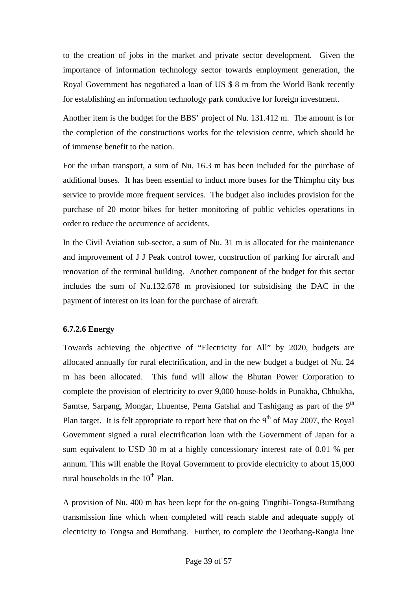<span id="page-38-0"></span>to the creation of jobs in the market and private sector development. Given the importance of information technology sector towards employment generation, the Royal Government has negotiated a loan of US \$ 8 m from the World Bank recently for establishing an information technology park conducive for foreign investment.

Another item is the budget for the BBS' project of Nu. 131.412 m. The amount is for the completion of the constructions works for the television centre, which should be of immense benefit to the nation.

For the urban transport, a sum of Nu. 16.3 m has been included for the purchase of additional buses. It has been essential to induct more buses for the Thimphu city bus service to provide more frequent services. The budget also includes provision for the purchase of 20 motor bikes for better monitoring of public vehicles operations in order to reduce the occurrence of accidents.

In the Civil Aviation sub-sector, a sum of Nu. 31 m is allocated for the maintenance and improvement of J J Peak control tower, construction of parking for aircraft and renovation of the terminal building. Another component of the budget for this sector includes the sum of Nu.132.678 m provisioned for subsidising the DAC in the payment of interest on its loan for the purchase of aircraft.

#### **6.7.2.6 Energy**

Towards achieving the objective of "Electricity for All" by 2020, budgets are allocated annually for rural electrification, and in the new budget a budget of Nu. 24 m has been allocated. This fund will allow the Bhutan Power Corporation to complete the provision of electricity to over 9,000 house-holds in Punakha, Chhukha, Samtse, Sarpang, Mongar, Lhuentse, Pema Gatshal and Tashigang as part of the  $9<sup>th</sup>$ Plan target. It is felt appropriate to report here that on the  $9<sup>th</sup>$  of May 2007, the Royal Government signed a rural electrification loan with the Government of Japan for a sum equivalent to USD 30 m at a highly concessionary interest rate of 0.01 % per annum. This will enable the Royal Government to provide electricity to about 15,000 rural households in the  $10<sup>th</sup>$  Plan.

A provision of Nu. 400 m has been kept for the on-going Tingtibi-Tongsa-Bumthang transmission line which when completed will reach stable and adequate supply of electricity to Tongsa and Bumthang. Further, to complete the Deothang-Rangia line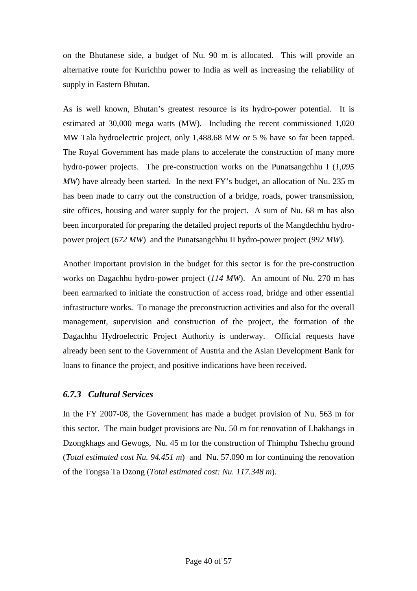<span id="page-39-0"></span>on the Bhutanese side, a budget of Nu. 90 m is allocated. This will provide an alternative route for Kurichhu power to India as well as increasing the reliability of supply in Eastern Bhutan.

As is well known, Bhutan's greatest resource is its hydro-power potential. It is estimated at 30,000 mega watts (MW). Including the recent commissioned 1,020 MW Tala hydroelectric project, only 1,488.68 MW or 5 % have so far been tapped. The Royal Government has made plans to accelerate the construction of many more hydro-power projects. The pre-construction works on the Punatsangchhu I (*1,095 MW*) have already been started. In the next FY's budget, an allocation of Nu. 235 m has been made to carry out the construction of a bridge, roads, power transmission, site offices, housing and water supply for the project. A sum of Nu. 68 m has also been incorporated for preparing the detailed project reports of the Mangdechhu hydropower project (*672 MW*) and the Punatsangchhu II hydro-power project (*992 MW*).

Another important provision in the budget for this sector is for the pre-construction works on Dagachhu hydro-power project (*114 MW*). An amount of Nu. 270 m has been earmarked to initiate the construction of access road, bridge and other essential infrastructure works. To manage the preconstruction activities and also for the overall management, supervision and construction of the project, the formation of the Dagachhu Hydroelectric Project Authority is underway. Official requests have already been sent to the Government of Austria and the Asian Development Bank for loans to finance the project, and positive indications have been received.

#### *6.7.3 Cultural Services*

In the FY 2007-08, the Government has made a budget provision of Nu. 563 m for this sector. The main budget provisions are Nu. 50 m for renovation of Lhakhangs in Dzongkhags and Gewogs, Nu. 45 m for the construction of Thimphu Tshechu ground (*Total estimated cost Nu. 94.451 m*) and Nu. 57.090 m for continuing the renovation of the Tongsa Ta Dzong (*Total estimated cost: Nu. 117.348 m*).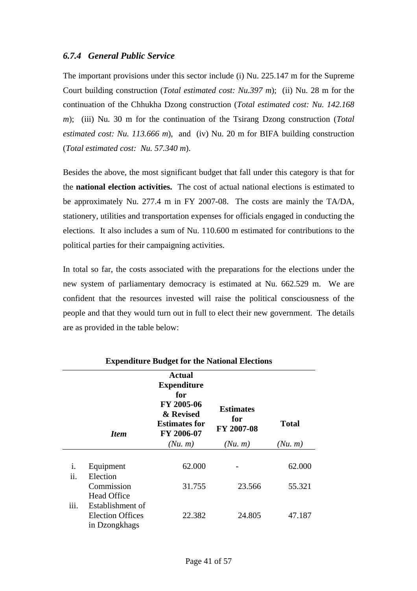### <span id="page-40-0"></span>*6.7.4 General Public Service*

The important provisions under this sector include (i) Nu. 225.147 m for the Supreme Court building construction (*Total estimated cost: Nu.397 m*); (ii) Nu. 28 m for the continuation of the Chhukha Dzong construction (*Total estimated cost: Nu. 142.168 m*); (iii) Nu. 30 m for the continuation of the Tsirang Dzong construction (*Total estimated cost: Nu. 113.666 m*), and (iv) Nu. 20 m for BIFA building construction (*Total estimated cost: Nu. 57.340 m*).

Besides the above, the most significant budget that fall under this category is that for the **national election activities.** The cost of actual national elections is estimated to be approximately Nu. 277.4 m in FY 2007-08. The costs are mainly the TA/DA, stationery, utilities and transportation expenses for officials engaged in conducting the elections. It also includes a sum of Nu. 110.600 m estimated for contributions to the political parties for their campaigning activities.

In total so far, the costs associated with the preparations for the elections under the new system of parliamentary democracy is estimated at Nu. 662.529 m. We are confident that the resources invested will raise the political consciousness of the people and that they would turn out in full to elect their new government. The details are as provided in the table below:

|           | <b>Item</b>                                                  | <b>Actual</b><br><b>Expenditure</b><br>for<br>FY 2005-06<br>& Revised<br><b>Estimates for</b><br>FY 2006-07 | <b>Estimates</b><br>for<br>FY 2007-08 | <b>Total</b> |
|-----------|--------------------------------------------------------------|-------------------------------------------------------------------------------------------------------------|---------------------------------------|--------------|
|           |                                                              | (Nu, m)                                                                                                     | (Nu, m)                               | (Nu, m)      |
| i.<br>ii. | Equipment<br>Election                                        | 62.000                                                                                                      |                                       | 62.000       |
|           | Commission<br><b>Head Office</b>                             | 31.755                                                                                                      | 23.566                                | 55.321       |
| iii.      | Establishment of<br><b>Election Offices</b><br>in Dzongkhags | 22.382                                                                                                      | 24.805                                | 47.187       |

#### **Expenditure Budget for the National Elections**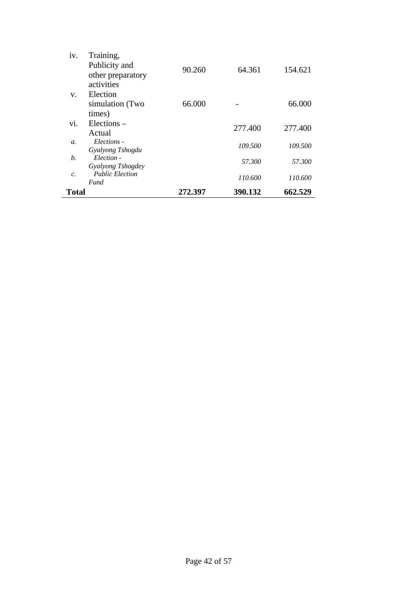| Total            |                                | 272.397 | 390.132 | 662.529 |
|------------------|--------------------------------|---------|---------|---------|
| $\mathcal{C}$    | <b>Public Election</b><br>Fund |         | 110.600 | 110.600 |
|                  | Gyalyong Tshogdey              |         |         |         |
| b.               | Election -                     |         | 57.300  | 57.300  |
| $\mathfrak{a}$ . | Gyalyong Tshogdu               |         | 109.500 | 109.500 |
|                  | Actual<br>Elections -          |         |         |         |
| vi.              | Elections –                    |         | 277.400 | 277.400 |
|                  | times)                         |         |         |         |
|                  | simulation (Two                | 66.000  |         | 66.000  |
| V.               | Election                       |         |         |         |
|                  | activities                     |         |         |         |
|                  | other preparatory              | 90.260  | 64.361  | 154.621 |
|                  | Publicity and                  |         |         |         |
| iv.              | Training,                      |         |         |         |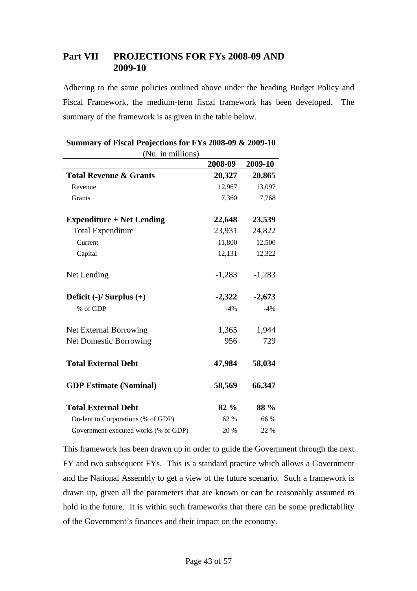# <span id="page-42-0"></span>**Part VII PROJECTIONS FOR FYs 2008-09 AND 2009-10**

Adhering to the same policies outlined above under the heading Budget Policy and Fiscal Framework, the medium-term fiscal framework has been developed. The summary of the framework is as given in the table below.

| Summary of Fiscal Projections for FYs 2008-09 & 2009-10 |          |          |
|---------------------------------------------------------|----------|----------|
| (Nu. in millions)                                       |          |          |
|                                                         | 2008-09  | 2009-10  |
| <b>Total Revenue &amp; Grants</b>                       | 20,327   | 20,865   |
| Revenue                                                 | 12,967   | 13,097   |
| Grants                                                  | 7,360    | 7,768    |
| <b>Expenditure + Net Lending</b>                        | 22,648   | 23,539   |
| <b>Total Expenditure</b>                                | 23,931   | 24,822   |
| Current                                                 | 11,800   | 12,500   |
| Capital                                                 | 12,131   | 12,322   |
| Net Lending                                             | $-1,283$ | $-1,283$ |
| Deficit $(-)/$ Surplus $(+)$                            | $-2,322$ | $-2,673$ |
| % of GDP                                                | $-4%$    | $-4%$    |
| Net External Borrowing                                  | 1,365    | 1,944    |
| <b>Net Domestic Borrowing</b>                           | 956      | 729      |
| <b>Total External Debt</b>                              | 47,984   | 58,034   |
| <b>GDP Estimate (Nominal)</b>                           | 58,569   | 66,347   |
| <b>Total External Debt</b>                              | 82 %     | 88 %     |
| On-lent to Corporations (% of GDP)                      | 62 %     | 66 %     |
| Government-executed works (% of GDP)                    | 20 %     | 22 %     |

This framework has been drawn up in order to guide the Government through the next FY and two subsequent FYs. This is a standard practice which allows a Government and the National Assembly to get a view of the future scenario. Such a framework is drawn up, given all the parameters that are known or can be reasonably assumed to hold in the future. It is within such frameworks that there can be some predictability of the Government's finances and their impact on the economy.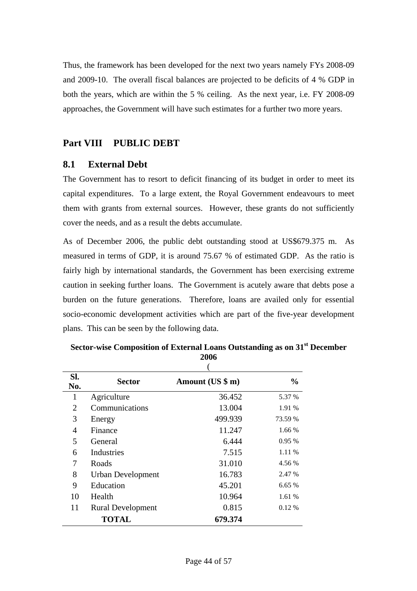<span id="page-43-0"></span>Thus, the framework has been developed for the next two years namely FYs 2008-09 and 2009-10. The overall fiscal balances are projected to be deficits of 4 % GDP in both the years, which are within the 5 % ceiling. As the next year, i.e. FY 2008-09 approaches, the Government will have such estimates for a further two more years.

### **Part VIII PUBLIC DEBT**

#### **8.1 External Debt**

The Government has to resort to deficit financing of its budget in order to meet its capital expenditures. To a large extent, the Royal Government endeavours to meet them with grants from external sources. However, these grants do not sufficiently cover the needs, and as a result the debts accumulate.

As of December 2006, the public debt outstanding stood at US\$679.375 m. As measured in terms of GDP, it is around 75.67 % of estimated GDP. As the ratio is fairly high by international standards, the Government has been exercising extreme caution in seeking further loans. The Government is acutely aware that debts pose a burden on the future generations. Therefore, loans are availed only for essential socio-economic development activities which are part of the five-year development plans. This can be seen by the following data.

| SI.<br>No.     | <b>Sector</b>            | Amount (US \$ m) | $\frac{6}{9}$ |
|----------------|--------------------------|------------------|---------------|
| 1              | Agriculture              | 36.452           | 5.37 %        |
| 2              | Communications           | 13.004           | 1.91 %        |
| 3              | Energy                   | 499.939          | 73.59 %       |
| $\overline{4}$ | Finance                  | 11.247           | 1.66 %        |
| 5              | General                  | 6.444            | 0.95%         |
| 6              | Industries               | 7.515            | 1.11 %        |
| 7              | Roads                    | 31.010           | 4.56 %        |
| 8              | <b>Urban Development</b> | 16.783           | 2.47 %        |
| 9              | Education                | 45.201           | 6.65%         |
| 10             | Health                   | 10.964           | 1.61 %        |
| 11             | <b>Rural Development</b> | 0.815            | $0.12\%$      |
|                | <b>TOTAL</b>             | 679.374          |               |

**Sector-wise Composition of External Loans Outstanding as on 31st December 2006**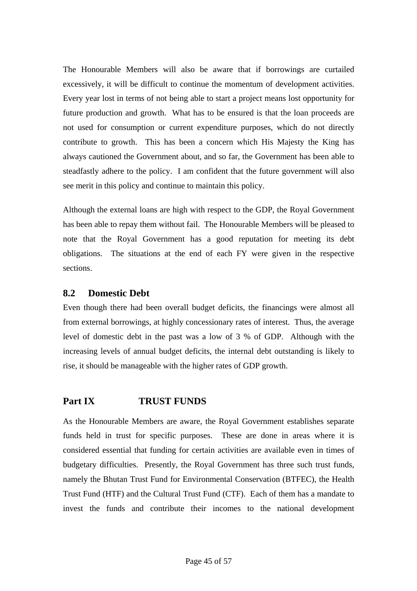<span id="page-44-0"></span>The Honourable Members will also be aware that if borrowings are curtailed excessively, it will be difficult to continue the momentum of development activities. Every year lost in terms of not being able to start a project means lost opportunity for future production and growth. What has to be ensured is that the loan proceeds are not used for consumption or current expenditure purposes, which do not directly contribute to growth. This has been a concern which His Majesty the King has always cautioned the Government about, and so far, the Government has been able to steadfastly adhere to the policy. I am confident that the future government will also see merit in this policy and continue to maintain this policy.

Although the external loans are high with respect to the GDP, the Royal Government has been able to repay them without fail. The Honourable Members will be pleased to note that the Royal Government has a good reputation for meeting its debt obligations. The situations at the end of each FY were given in the respective sections.

### **8.2 Domestic Debt**

Even though there had been overall budget deficits, the financings were almost all from external borrowings, at highly concessionary rates of interest. Thus, the average level of domestic debt in the past was a low of 3 % of GDP. Although with the increasing levels of annual budget deficits, the internal debt outstanding is likely to rise, it should be manageable with the higher rates of GDP growth.

# **Part IX TRUST FUNDS**

As the Honourable Members are aware, the Royal Government establishes separate funds held in trust for specific purposes. These are done in areas where it is considered essential that funding for certain activities are available even in times of budgetary difficulties. Presently, the Royal Government has three such trust funds, namely the Bhutan Trust Fund for Environmental Conservation (BTFEC), the Health Trust Fund (HTF) and the Cultural Trust Fund (CTF). Each of them has a mandate to invest the funds and contribute their incomes to the national development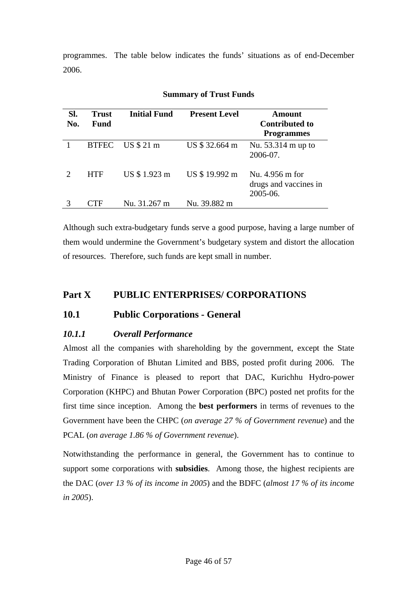<span id="page-45-0"></span>programmes. The table below indicates the funds' situations as of end-December 2006.

| SI.<br>No. | <b>Trust</b><br>Fund | <b>Initial Fund</b> | <b>Present Level</b> | <b>Amount</b><br><b>Contributed to</b><br><b>Programmes</b> |
|------------|----------------------|---------------------|----------------------|-------------------------------------------------------------|
|            | <b>BTFEC</b>         | US \$ 21 m          | US \$32.664 m        | Nu. 53.314 m up to<br>2006-07.                              |
|            | <b>HTF</b>           | US \$1.923 m        | US \$19.992 m        | Nu. 4.956 m for<br>drugs and vaccines in<br>2005-06.        |
|            |                      | Nu. 31.267 m        | Nu. 39.882 m         |                                                             |

#### **Summary of Trust Funds**

Although such extra-budgetary funds serve a good purpose, having a large number of them would undermine the Government's budgetary system and distort the allocation of resources. Therefore, such funds are kept small in number.

# **Part X PUBLIC ENTERPRISES/ CORPORATIONS**

# **10.1 Public Corporations - General**

# *10.1.1 Overall Performance*

Almost all the companies with shareholding by the government, except the State Trading Corporation of Bhutan Limited and BBS, posted profit during 2006. The Ministry of Finance is pleased to report that DAC, Kurichhu Hydro-power Corporation (KHPC) and Bhutan Power Corporation (BPC) posted net profits for the first time since inception. Among the **best performers** in terms of revenues to the Government have been the CHPC (*on average 27 % of Government revenue*) and the PCAL (*on average 1.86 % of Government revenue*).

Notwithstanding the performance in general, the Government has to continue to support some corporations with **subsidies**. Among those, the highest recipients are the DAC (*over 13 % of its income in 2005*) and the BDFC (*almost 17 % of its income in 2005*).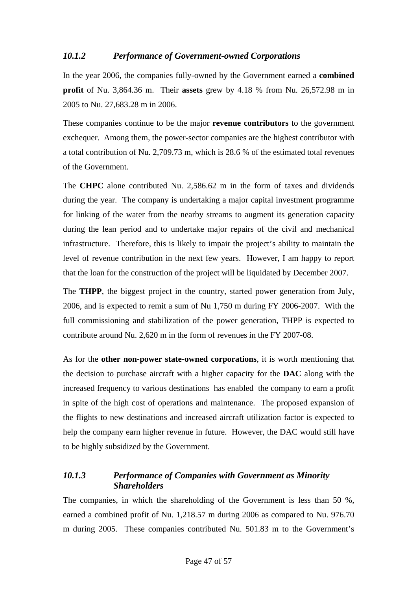# <span id="page-46-0"></span>*10.1.2 Performance of Government-owned Corporations*

In the year 2006, the companies fully-owned by the Government earned a **combined profit** of Nu. 3,864.36 m. Their **assets** grew by 4.18 % from Nu. 26,572.98 m in 2005 to Nu. 27,683.28 m in 2006.

These companies continue to be the major **revenue contributors** to the government exchequer. Among them, the power-sector companies are the highest contributor with a total contribution of Nu. 2,709.73 m, which is 28.6 % of the estimated total revenues of the Government.

The **CHPC** alone contributed Nu. 2,586.62 m in the form of taxes and dividends during the year. The company is undertaking a major capital investment programme for linking of the water from the nearby streams to augment its generation capacity during the lean period and to undertake major repairs of the civil and mechanical infrastructure. Therefore, this is likely to impair the project's ability to maintain the level of revenue contribution in the next few years. However, I am happy to report that the loan for the construction of the project will be liquidated by December 2007.

The **THPP**, the biggest project in the country, started power generation from July, 2006, and is expected to remit a sum of Nu 1,750 m during FY 2006-2007. With the full commissioning and stabilization of the power generation, THPP is expected to contribute around Nu. 2,620 m in the form of revenues in the FY 2007-08.

As for the **other non-power state-owned corporations**, it is worth mentioning that the decision to purchase aircraft with a higher capacity for the **DAC** along with the increased frequency to various destinations has enabled the company to earn a profit in spite of the high cost of operations and maintenance. The proposed expansion of the flights to new destinations and increased aircraft utilization factor is expected to help the company earn higher revenue in future. However, the DAC would still have to be highly subsidized by the Government.

# *10.1.3 Performance of Companies with Government as Minority Shareholders*

The companies, in which the shareholding of the Government is less than 50 %, earned a combined profit of Nu. 1,218.57 m during 2006 as compared to Nu. 976.70 m during 2005. These companies contributed Nu. 501.83 m to the Government's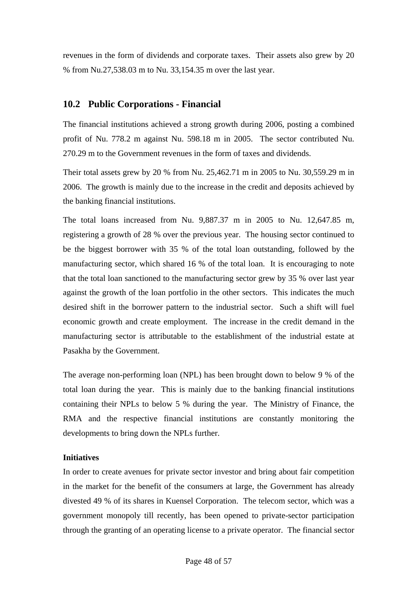<span id="page-47-0"></span>revenues in the form of dividends and corporate taxes. Their assets also grew by 20 % from Nu.27,538.03 m to Nu. 33,154.35 m over the last year.

# **10.2 Public Corporations - Financial**

The financial institutions achieved a strong growth during 2006, posting a combined profit of Nu. 778.2 m against Nu. 598.18 m in 2005. The sector contributed Nu. 270.29 m to the Government revenues in the form of taxes and dividends.

Their total assets grew by 20 % from Nu. 25,462.71 m in 2005 to Nu. 30,559.29 m in 2006. The growth is mainly due to the increase in the credit and deposits achieved by the banking financial institutions.

The total loans increased from Nu. 9,887.37 m in 2005 to Nu. 12,647.85 m, registering a growth of 28 % over the previous year. The housing sector continued to be the biggest borrower with 35 % of the total loan outstanding, followed by the manufacturing sector, which shared 16 % of the total loan. It is encouraging to note that the total loan sanctioned to the manufacturing sector grew by 35 % over last year against the growth of the loan portfolio in the other sectors. This indicates the much desired shift in the borrower pattern to the industrial sector. Such a shift will fuel economic growth and create employment. The increase in the credit demand in the manufacturing sector is attributable to the establishment of the industrial estate at Pasakha by the Government.

The average non-performing loan (NPL) has been brought down to below 9 % of the total loan during the year. This is mainly due to the banking financial institutions containing their NPLs to below 5 % during the year. The Ministry of Finance, the RMA and the respective financial institutions are constantly monitoring the developments to bring down the NPLs further.

#### **Initiatives**

In order to create avenues for private sector investor and bring about fair competition in the market for the benefit of the consumers at large, the Government has already divested 49 % of its shares in Kuensel Corporation. The telecom sector, which was a government monopoly till recently, has been opened to private-sector participation through the granting of an operating license to a private operator. The financial sector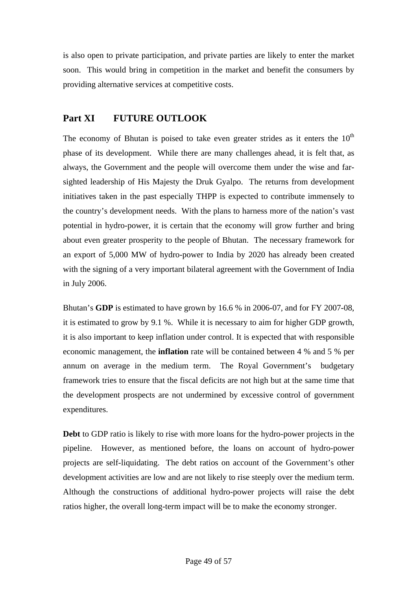<span id="page-48-0"></span>is also open to private participation, and private parties are likely to enter the market soon. This would bring in competition in the market and benefit the consumers by providing alternative services at competitive costs.

# **Part XI FUTURE OUTLOOK**

The economy of Bhutan is poised to take even greater strides as it enters the  $10<sup>th</sup>$ phase of its development. While there are many challenges ahead, it is felt that, as always, the Government and the people will overcome them under the wise and farsighted leadership of His Majesty the Druk Gyalpo. The returns from development initiatives taken in the past especially THPP is expected to contribute immensely to the country's development needs. With the plans to harness more of the nation's vast potential in hydro-power, it is certain that the economy will grow further and bring about even greater prosperity to the people of Bhutan. The necessary framework for an export of 5,000 MW of hydro-power to India by 2020 has already been created with the signing of a very important bilateral agreement with the Government of India in July 2006.

Bhutan's **GDP** is estimated to have grown by 16.6 % in 2006-07, and for FY 2007-08, it is estimated to grow by 9.1 %. While it is necessary to aim for higher GDP growth, it is also important to keep inflation under control. It is expected that with responsible economic management, the **inflation** rate will be contained between 4 % and 5 % per annum on average in the medium term. The Royal Government's budgetary framework tries to ensure that the fiscal deficits are not high but at the same time that the development prospects are not undermined by excessive control of government expenditures.

**Debt** to GDP ratio is likely to rise with more loans for the hydro-power projects in the pipeline. However, as mentioned before, the loans on account of hydro-power projects are self-liquidating. The debt ratios on account of the Government's other development activities are low and are not likely to rise steeply over the medium term. Although the constructions of additional hydro-power projects will raise the debt ratios higher, the overall long-term impact will be to make the economy stronger.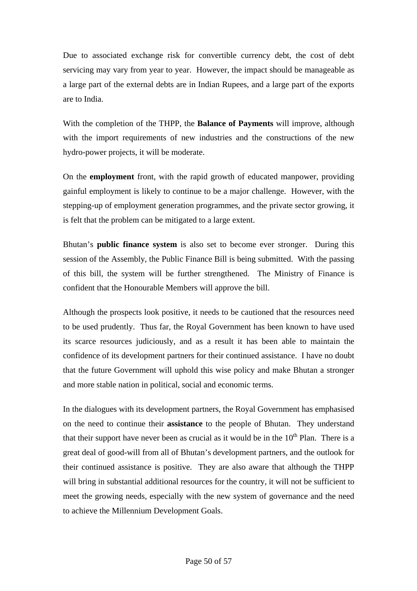Due to associated exchange risk for convertible currency debt, the cost of debt servicing may vary from year to year. However, the impact should be manageable as a large part of the external debts are in Indian Rupees, and a large part of the exports are to India.

With the completion of the THPP, the **Balance of Payments** will improve, although with the import requirements of new industries and the constructions of the new hydro-power projects, it will be moderate.

On the **employment** front, with the rapid growth of educated manpower, providing gainful employment is likely to continue to be a major challenge. However, with the stepping-up of employment generation programmes, and the private sector growing, it is felt that the problem can be mitigated to a large extent.

Bhutan's **public finance system** is also set to become ever stronger. During this session of the Assembly, the Public Finance Bill is being submitted. With the passing of this bill, the system will be further strengthened. The Ministry of Finance is confident that the Honourable Members will approve the bill.

Although the prospects look positive, it needs to be cautioned that the resources need to be used prudently. Thus far, the Royal Government has been known to have used its scarce resources judiciously, and as a result it has been able to maintain the confidence of its development partners for their continued assistance. I have no doubt that the future Government will uphold this wise policy and make Bhutan a stronger and more stable nation in political, social and economic terms.

In the dialogues with its development partners, the Royal Government has emphasised on the need to continue their **assistance** to the people of Bhutan. They understand that their support have never been as crucial as it would be in the  $10<sup>th</sup>$  Plan. There is a great deal of good-will from all of Bhutan's development partners, and the outlook for their continued assistance is positive. They are also aware that although the THPP will bring in substantial additional resources for the country, it will not be sufficient to meet the growing needs, especially with the new system of governance and the need to achieve the Millennium Development Goals.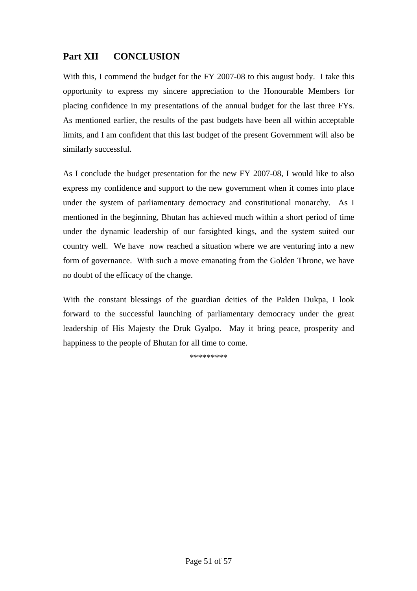# <span id="page-50-0"></span>**Part XII CONCLUSION**

With this, I commend the budget for the FY 2007-08 to this august body. I take this opportunity to express my sincere appreciation to the Honourable Members for placing confidence in my presentations of the annual budget for the last three FYs. As mentioned earlier, the results of the past budgets have been all within acceptable limits, and I am confident that this last budget of the present Government will also be similarly successful.

As I conclude the budget presentation for the new FY 2007-08, I would like to also express my confidence and support to the new government when it comes into place under the system of parliamentary democracy and constitutional monarchy. As I mentioned in the beginning, Bhutan has achieved much within a short period of time under the dynamic leadership of our farsighted kings, and the system suited our country well. We have now reached a situation where we are venturing into a new form of governance. With such a move emanating from the Golden Throne, we have no doubt of the efficacy of the change.

With the constant blessings of the guardian deities of the Palden Dukpa, I look forward to the successful launching of parliamentary democracy under the great leadership of His Majesty the Druk Gyalpo. May it bring peace, prosperity and happiness to the people of Bhutan for all time to come.

\*\*\*\*\*\*\*\*\*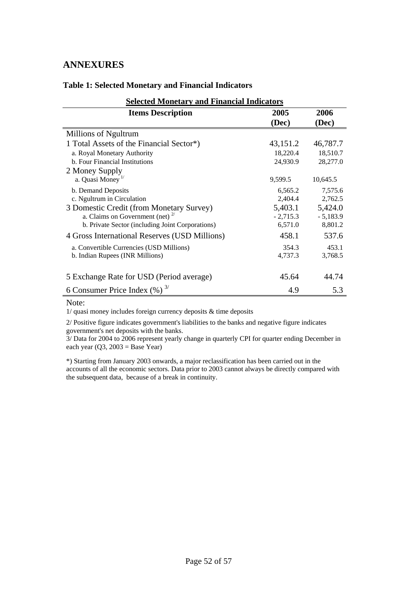# <span id="page-51-0"></span>**ANNEXURES**

| <b>Selected Monetary and Financial Indicators</b> |            |            |  |
|---------------------------------------------------|------------|------------|--|
| <b>Items Description</b>                          | 2005       | 2006       |  |
|                                                   | (Dec)      | (Dec)      |  |
| Millions of Ngultrum                              |            |            |  |
| 1 Total Assets of the Financial Sector*)          | 43,151.2   | 46,787.7   |  |
| a. Royal Monetary Authority                       | 18,220.4   | 18,510.7   |  |
| b. Four Financial Institutions                    | 24,930.9   | 28,277.0   |  |
| 2 Money Supply                                    |            |            |  |
| a. Quasi Money <sup>1/</sup>                      | 9,599.5    | 10,645.5   |  |
| b. Demand Deposits                                | 6,565.2    | 7,575.6    |  |
| c. Ngultrum in Circulation                        | 2,404.4    | 2,762.5    |  |
| 3 Domestic Credit (from Monetary Survey)          | 5,403.1    | 5,424.0    |  |
| a. Claims on Government (net) $^{2}$              | $-2,715.3$ | $-5,183.9$ |  |
| b. Private Sector (including Joint Corporations)  | 6,571.0    | 8,801.2    |  |
| 4 Gross International Reserves (USD Millions)     | 458.1      | 537.6      |  |
| a. Convertible Currencies (USD Millions)          | 354.3      | 453.1      |  |
| b. Indian Rupees (INR Millions)                   | 4,737.3    | 3,768.5    |  |
|                                                   |            |            |  |
| 5 Exchange Rate for USD (Period average)          | 45.64      | 44.74      |  |
| 6 Consumer Price Index $(\%)^{3/}$                | 4.9        | 5.3        |  |

#### **Table 1: Selected Monetary and Financial Indicators**

Note:

1/ quasi money includes foreign currency deposits & time deposits

2/ Positive figure indicates government's liabilities to the banks and negative figure indicates government's net deposits with the banks.

3/ Data for 2004 to 2006 represent yearly change in quarterly CPI for quarter ending December in each year  $(Q3, 2003 = Base Year)$ 

\*) Starting from January 2003 onwards, a major reclassification has been carried out in the accounts of all the economic sectors. Data prior to 2003 cannot always be directly compared with the subsequent data, because of a break in continuity.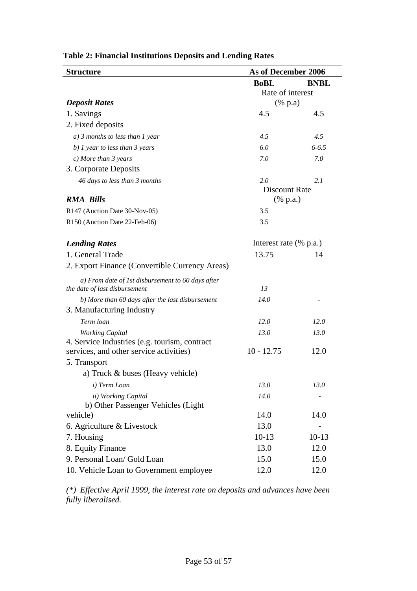| <b>Structure</b>                                                                   | As of December 2006       |             |  |
|------------------------------------------------------------------------------------|---------------------------|-------------|--|
|                                                                                    | <b>BoBL</b>               | <b>BNBL</b> |  |
|                                                                                    | Rate of interest          |             |  |
| <b>Deposit Rates</b>                                                               | $(% \mathbf{a})$ (% p.a)  |             |  |
| 1. Savings                                                                         | 4.5                       | 4.5         |  |
| 2. Fixed deposits                                                                  |                           |             |  |
| $a)$ 3 months to less than 1 year                                                  | 4.5                       | 4.5         |  |
| b) $1$ year to less than $3$ years                                                 | 6.0                       | $6 - 6.5$   |  |
| $c)$ More than 3 years                                                             | 7.0                       | 7.0         |  |
| 3. Corporate Deposits                                                              |                           |             |  |
| 46 days to less than 3 months                                                      | 2.0                       | 2.1         |  |
|                                                                                    | <b>Discount Rate</b>      |             |  |
| <b>RMA Bills</b>                                                                   | $(% \mathbf{a})$ (% p.a.) |             |  |
| R147 (Auction Date 30-Nov-05)                                                      | 3.5                       |             |  |
| R150 (Auction Date 22-Feb-06)                                                      | 3.5                       |             |  |
| <b>Lending Rates</b>                                                               | Interest rate (% p.a.)    |             |  |
| 1. General Trade                                                                   | 13.75                     | 14          |  |
| 2. Export Finance (Convertible Currency Areas)                                     |                           |             |  |
|                                                                                    |                           |             |  |
| a) From date of 1st disbursement to 60 days after<br>the date of last disbursement | 13                        |             |  |
| b) More than 60 days after the last disbursement                                   | 14.0                      |             |  |
| 3. Manufacturing Industry                                                          |                           |             |  |
| Term loan                                                                          | 12.0                      | 12.0        |  |
| <b>Working Capital</b>                                                             | 13.0                      | 13.0        |  |
| 4. Service Industries (e.g. tourism, contract                                      |                           |             |  |
| services, and other service activities)                                            | $10 - 12.75$              | 12.0        |  |
| 5. Transport                                                                       |                           |             |  |
| a) Truck & buses (Heavy vehicle)                                                   |                           |             |  |
| i) Term Loan                                                                       | 13.0                      | 13.0        |  |
| ii) Working Capital                                                                | 14.0                      |             |  |
| b) Other Passenger Vehicles (Light                                                 |                           |             |  |
| vehicle)                                                                           | 14.0                      | 14.0        |  |
| 6. Agriculture & Livestock                                                         | 13.0                      |             |  |
| 7. Housing                                                                         | $10-13$                   | $10-13$     |  |
| 8. Equity Finance                                                                  | 13.0                      | 12.0        |  |
| 9. Personal Loan/ Gold Loan                                                        | 15.0                      | 15.0        |  |
| 10. Vehicle Loan to Government employee                                            | 12.0                      | 12.0        |  |

# **Table 2: Financial Institutions Deposits and Lending Rates**

*(\*) Effective April 1999, the interest rate on deposits and advances have been fully liberalised.*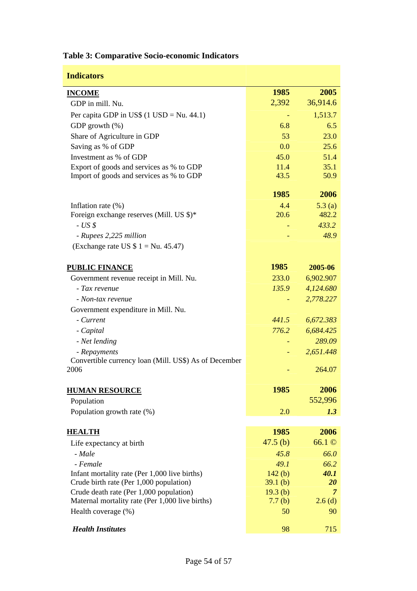| <b>Indicators</b>                                           |         |                |
|-------------------------------------------------------------|---------|----------------|
| <b>INCOME</b>                                               | 1985    | 2005           |
| GDP in mill. Nu.                                            | 2,392   | 36,914.6       |
| Per capita GDP in US\$ $(1 \text{ USD} = \text{Nu. } 44.1)$ |         | 1,513.7        |
| GDP growth $(\%)$                                           | 6.8     | 6.5            |
| Share of Agriculture in GDP                                 | 53      | 23.0           |
| Saving as % of GDP                                          | 0.0     | 25.6           |
| Investment as % of GDP                                      | 45.0    | 51.4           |
| Export of goods and services as % to GDP                    | 11.4    | 35.1           |
| Import of goods and services as % to GDP                    | 43.5    | 50.9           |
|                                                             | 1985    | 2006           |
| Inflation rate $(\%)$                                       | 4.4     | 5.3(a)         |
| Foreign exchange reserves (Mill. US \$)*                    | 20.6    | 482.2          |
| $-USS$                                                      |         | 433.2          |
| - Rupees 2,225 million                                      |         | 48.9           |
| (Exchange rate US $$1 = Nu. 45.47$ )                        |         |                |
|                                                             |         |                |
| <b>PUBLIC FINANCE</b>                                       | 1985    | 2005-06        |
| Government revenue receipt in Mill. Nu.                     | 233.0   | 6,902.907      |
| - Tax revenue                                               | 135.9   | 4,124.680      |
| - Non-tax revenue                                           |         | 2,778.227      |
| Government expenditure in Mill. Nu.                         |         |                |
| - Current                                                   | 441.5   | 6,672.383      |
| - Capital                                                   | 776.2   | 6,684.425      |
| - Net lending                                               |         | 289.09         |
| - Repayments                                                |         | 2,651.448      |
| Convertible currency loan (Mill. US\$) As of December       |         |                |
| 2006                                                        |         | 264.07         |
| <b>HUMAN RESOURCE</b>                                       | 1985    | 2006           |
| Population                                                  |         | 552,996        |
| Population growth rate (%)                                  | 2.0     | 1.3            |
|                                                             |         |                |
| <b>HEALTH</b>                                               | 1985    | 2006           |
| Life expectancy at birth                                    | 47.5(b) | 66.1 ©         |
| - Male                                                      | 45.8    | 66.0           |
| - Female                                                    | 49.1    | 66.2           |
| Infant mortality rate (Per 1,000 live births)               | 142(b)  | 40.1           |
| Crude birth rate (Per 1,000 population)                     | 39.1(b) | <b>20</b>      |
| Crude death rate (Per 1,000 population)                     | 19.3(b) | $\overline{7}$ |
| Maternal mortality rate (Per 1,000 live births)             | 7.7(b)  | $2.6$ (d)      |
| Health coverage (%)                                         | 50      | 90             |
| <b>Health Institutes</b>                                    | 98      | 715            |

# **Table 3: Comparative Socio-economic Indicators**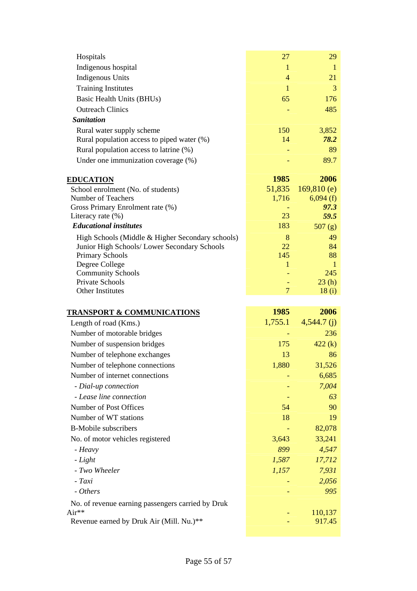| Hospitals                                              | 27             | 29                |
|--------------------------------------------------------|----------------|-------------------|
| Indigenous hospital                                    | $\mathbf{1}$   | 1                 |
| <b>Indigenous Units</b>                                | 4              | 21                |
| <b>Training Institutes</b>                             | $\mathbf{1}$   | 3                 |
| Basic Health Units (BHUs)                              | 65             | 176               |
| <b>Outreach Clinics</b>                                |                | 485               |
| <b>Sanitation</b>                                      |                |                   |
| Rural water supply scheme                              | 150            | 3,852             |
| Rural population access to piped water (%)             | 14             | 78.2              |
| Rural population access to latrine (%)                 |                | 89                |
| Under one immunization coverage (%)                    |                | 89.7              |
|                                                        | 1985           | 2006              |
| <b>EDUCATION</b><br>School enrolment (No. of students) | 51,835         | 169,810(e)        |
| Number of Teachers                                     | 1,716          | 6,094(f)          |
| Gross Primary Enrolment rate (%)                       |                | 97.3              |
| Literacy rate $(\%)$                                   | 23             | 59.5              |
| <b>Educational institutes</b>                          | 183            | 507(g)            |
| High Schools (Middle & Higher Secondary schools)       | 8              | 49                |
| Junior High Schools/ Lower Secondary Schools           | 22             | 84                |
| <b>Primary Schools</b>                                 | 145            | 88                |
| Degree College                                         | 1              | -1                |
| <b>Community Schools</b><br>Private Schools            |                | 245<br>23(h)      |
|                                                        |                |                   |
|                                                        |                |                   |
| Other Institutes                                       | $\overline{7}$ | 18(i)             |
| <b>TRANSPORT &amp; COMMUNICATIONS</b>                  | 1985           | 2006              |
| Length of road (Kms.)                                  | 1,755.1        | $4,544.7$ (j)     |
| Number of motorable bridges                            |                | 236               |
| Number of suspension bridges                           | 175            | 422(k)            |
| Number of telephone exchanges                          | 13             | 86                |
| Number of telephone connections                        | 1,880          | 31,526            |
| Number of internet connections                         |                | 6,685             |
| - Dial-up connection                                   |                | 7,004             |
| - Lease line connection                                |                | 63                |
| Number of Post Offices                                 | 54             | 90                |
| Number of WT stations                                  | 18             | 19                |
| <b>B-Mobile subscribers</b>                            |                | 82,078            |
| No. of motor vehicles registered                       | 3,643          | 33,241            |
| - Heavy                                                | 899            | 4,547             |
| - Light                                                | 1,587          | 17,712            |
| - Two Wheeler                                          | 1,157          | 7,931             |
| - Taxi                                                 |                | 2,056             |
| - Others                                               |                | 995               |
| No. of revenue earning passengers carried by Druk      |                |                   |
| Air**<br>Revenue earned by Druk Air (Mill. Nu.)**      |                | 110,137<br>917.45 |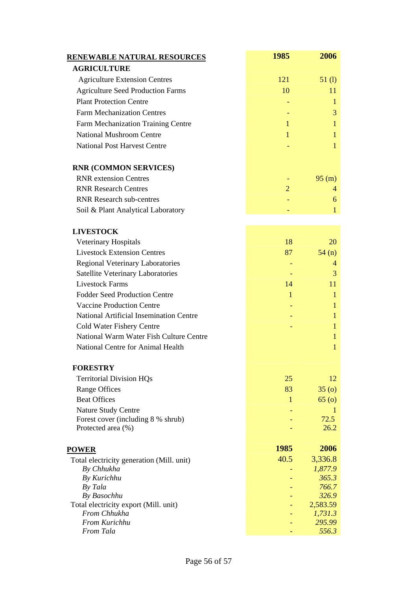| <b>AGRICULTURE</b><br><b>Agriculture Extension Centres</b><br>121<br>51(l)<br><b>Agriculture Seed Production Farms</b><br>10<br>11<br><b>Plant Protection Centre</b><br>1<br><b>Farm Mechanization Centres</b><br>3<br>Farm Mechanization Training Centre<br>1<br>Ŧ<br><b>National Mushroom Centre</b><br>1<br>1<br><b>National Post Harvest Centre</b><br>1<br><b>RNR (COMMON SERVICES)</b><br><b>RNR</b> extension Centres<br>95 (m)<br><b>RNR Research Centres</b><br>$\overline{2}$<br>4<br><b>RNR Research sub-centres</b><br>6<br>Soil & Plant Analytical Laboratory<br>1<br><b>LIVESTOCK</b><br>Veterinary Hospitals<br>18<br>20<br><b>Livestock Extension Centres</b><br>87<br>54(n)<br><b>Regional Veterinary Laboratories</b><br>4<br>Satellite Veterinary Laboratories<br>3<br><b>Livestock Farms</b><br>14<br>11<br><b>Fodder Seed Production Centre</b><br>1<br>1<br><b>Vaccine Production Centre</b><br>1<br><b>National Artificial Insemination Centre</b><br>1<br>Cold Water Fishery Centre<br>1<br>National Warm Water Fish Culture Centre<br>1<br>National Centre for Animal Health<br>1<br><b>FORESTRY</b><br><b>Territorial Division HQs</b><br>25<br>12<br><b>Range Offices</b><br>83<br>35(0)<br><b>Beat Offices</b><br>$\mathbf{1}$<br>65(0)<br>Nature Study Centre<br>T<br>Forest cover (including 8 % shrub)<br>72.5<br>Protected area (%)<br>26.2<br>1985<br>2006<br><b>POWER</b><br>40.5<br>3,336.8<br>Total electricity generation (Mill. unit)<br>By Chhukha<br>1,877.9<br>365.3<br>By Kurichhu<br>766.7<br>By Tala<br>By Basochhu<br>326.9<br>Total electricity export (Mill. unit)<br>2,583.59<br>From Chhukha<br>1,731.3<br>From Kurichhu<br>295.99<br>556.3<br>From Tala | <b>RENEWABLE NATURAL RESOURCES</b> | 1985 | 2006 |
|-----------------------------------------------------------------------------------------------------------------------------------------------------------------------------------------------------------------------------------------------------------------------------------------------------------------------------------------------------------------------------------------------------------------------------------------------------------------------------------------------------------------------------------------------------------------------------------------------------------------------------------------------------------------------------------------------------------------------------------------------------------------------------------------------------------------------------------------------------------------------------------------------------------------------------------------------------------------------------------------------------------------------------------------------------------------------------------------------------------------------------------------------------------------------------------------------------------------------------------------------------------------------------------------------------------------------------------------------------------------------------------------------------------------------------------------------------------------------------------------------------------------------------------------------------------------------------------------------------------------------------------------------------------------------------------------------------------|------------------------------------|------|------|
|                                                                                                                                                                                                                                                                                                                                                                                                                                                                                                                                                                                                                                                                                                                                                                                                                                                                                                                                                                                                                                                                                                                                                                                                                                                                                                                                                                                                                                                                                                                                                                                                                                                                                                           |                                    |      |      |
|                                                                                                                                                                                                                                                                                                                                                                                                                                                                                                                                                                                                                                                                                                                                                                                                                                                                                                                                                                                                                                                                                                                                                                                                                                                                                                                                                                                                                                                                                                                                                                                                                                                                                                           |                                    |      |      |
|                                                                                                                                                                                                                                                                                                                                                                                                                                                                                                                                                                                                                                                                                                                                                                                                                                                                                                                                                                                                                                                                                                                                                                                                                                                                                                                                                                                                                                                                                                                                                                                                                                                                                                           |                                    |      |      |
|                                                                                                                                                                                                                                                                                                                                                                                                                                                                                                                                                                                                                                                                                                                                                                                                                                                                                                                                                                                                                                                                                                                                                                                                                                                                                                                                                                                                                                                                                                                                                                                                                                                                                                           |                                    |      |      |
|                                                                                                                                                                                                                                                                                                                                                                                                                                                                                                                                                                                                                                                                                                                                                                                                                                                                                                                                                                                                                                                                                                                                                                                                                                                                                                                                                                                                                                                                                                                                                                                                                                                                                                           |                                    |      |      |
|                                                                                                                                                                                                                                                                                                                                                                                                                                                                                                                                                                                                                                                                                                                                                                                                                                                                                                                                                                                                                                                                                                                                                                                                                                                                                                                                                                                                                                                                                                                                                                                                                                                                                                           |                                    |      |      |
|                                                                                                                                                                                                                                                                                                                                                                                                                                                                                                                                                                                                                                                                                                                                                                                                                                                                                                                                                                                                                                                                                                                                                                                                                                                                                                                                                                                                                                                                                                                                                                                                                                                                                                           |                                    |      |      |
|                                                                                                                                                                                                                                                                                                                                                                                                                                                                                                                                                                                                                                                                                                                                                                                                                                                                                                                                                                                                                                                                                                                                                                                                                                                                                                                                                                                                                                                                                                                                                                                                                                                                                                           |                                    |      |      |
|                                                                                                                                                                                                                                                                                                                                                                                                                                                                                                                                                                                                                                                                                                                                                                                                                                                                                                                                                                                                                                                                                                                                                                                                                                                                                                                                                                                                                                                                                                                                                                                                                                                                                                           |                                    |      |      |
|                                                                                                                                                                                                                                                                                                                                                                                                                                                                                                                                                                                                                                                                                                                                                                                                                                                                                                                                                                                                                                                                                                                                                                                                                                                                                                                                                                                                                                                                                                                                                                                                                                                                                                           |                                    |      |      |
|                                                                                                                                                                                                                                                                                                                                                                                                                                                                                                                                                                                                                                                                                                                                                                                                                                                                                                                                                                                                                                                                                                                                                                                                                                                                                                                                                                                                                                                                                                                                                                                                                                                                                                           |                                    |      |      |
|                                                                                                                                                                                                                                                                                                                                                                                                                                                                                                                                                                                                                                                                                                                                                                                                                                                                                                                                                                                                                                                                                                                                                                                                                                                                                                                                                                                                                                                                                                                                                                                                                                                                                                           |                                    |      |      |
|                                                                                                                                                                                                                                                                                                                                                                                                                                                                                                                                                                                                                                                                                                                                                                                                                                                                                                                                                                                                                                                                                                                                                                                                                                                                                                                                                                                                                                                                                                                                                                                                                                                                                                           |                                    |      |      |
|                                                                                                                                                                                                                                                                                                                                                                                                                                                                                                                                                                                                                                                                                                                                                                                                                                                                                                                                                                                                                                                                                                                                                                                                                                                                                                                                                                                                                                                                                                                                                                                                                                                                                                           |                                    |      |      |
|                                                                                                                                                                                                                                                                                                                                                                                                                                                                                                                                                                                                                                                                                                                                                                                                                                                                                                                                                                                                                                                                                                                                                                                                                                                                                                                                                                                                                                                                                                                                                                                                                                                                                                           |                                    |      |      |
|                                                                                                                                                                                                                                                                                                                                                                                                                                                                                                                                                                                                                                                                                                                                                                                                                                                                                                                                                                                                                                                                                                                                                                                                                                                                                                                                                                                                                                                                                                                                                                                                                                                                                                           |                                    |      |      |
|                                                                                                                                                                                                                                                                                                                                                                                                                                                                                                                                                                                                                                                                                                                                                                                                                                                                                                                                                                                                                                                                                                                                                                                                                                                                                                                                                                                                                                                                                                                                                                                                                                                                                                           |                                    |      |      |
|                                                                                                                                                                                                                                                                                                                                                                                                                                                                                                                                                                                                                                                                                                                                                                                                                                                                                                                                                                                                                                                                                                                                                                                                                                                                                                                                                                                                                                                                                                                                                                                                                                                                                                           |                                    |      |      |
|                                                                                                                                                                                                                                                                                                                                                                                                                                                                                                                                                                                                                                                                                                                                                                                                                                                                                                                                                                                                                                                                                                                                                                                                                                                                                                                                                                                                                                                                                                                                                                                                                                                                                                           |                                    |      |      |
|                                                                                                                                                                                                                                                                                                                                                                                                                                                                                                                                                                                                                                                                                                                                                                                                                                                                                                                                                                                                                                                                                                                                                                                                                                                                                                                                                                                                                                                                                                                                                                                                                                                                                                           |                                    |      |      |
|                                                                                                                                                                                                                                                                                                                                                                                                                                                                                                                                                                                                                                                                                                                                                                                                                                                                                                                                                                                                                                                                                                                                                                                                                                                                                                                                                                                                                                                                                                                                                                                                                                                                                                           |                                    |      |      |
|                                                                                                                                                                                                                                                                                                                                                                                                                                                                                                                                                                                                                                                                                                                                                                                                                                                                                                                                                                                                                                                                                                                                                                                                                                                                                                                                                                                                                                                                                                                                                                                                                                                                                                           |                                    |      |      |
|                                                                                                                                                                                                                                                                                                                                                                                                                                                                                                                                                                                                                                                                                                                                                                                                                                                                                                                                                                                                                                                                                                                                                                                                                                                                                                                                                                                                                                                                                                                                                                                                                                                                                                           |                                    |      |      |
|                                                                                                                                                                                                                                                                                                                                                                                                                                                                                                                                                                                                                                                                                                                                                                                                                                                                                                                                                                                                                                                                                                                                                                                                                                                                                                                                                                                                                                                                                                                                                                                                                                                                                                           |                                    |      |      |
|                                                                                                                                                                                                                                                                                                                                                                                                                                                                                                                                                                                                                                                                                                                                                                                                                                                                                                                                                                                                                                                                                                                                                                                                                                                                                                                                                                                                                                                                                                                                                                                                                                                                                                           |                                    |      |      |
|                                                                                                                                                                                                                                                                                                                                                                                                                                                                                                                                                                                                                                                                                                                                                                                                                                                                                                                                                                                                                                                                                                                                                                                                                                                                                                                                                                                                                                                                                                                                                                                                                                                                                                           |                                    |      |      |
|                                                                                                                                                                                                                                                                                                                                                                                                                                                                                                                                                                                                                                                                                                                                                                                                                                                                                                                                                                                                                                                                                                                                                                                                                                                                                                                                                                                                                                                                                                                                                                                                                                                                                                           |                                    |      |      |
|                                                                                                                                                                                                                                                                                                                                                                                                                                                                                                                                                                                                                                                                                                                                                                                                                                                                                                                                                                                                                                                                                                                                                                                                                                                                                                                                                                                                                                                                                                                                                                                                                                                                                                           |                                    |      |      |
|                                                                                                                                                                                                                                                                                                                                                                                                                                                                                                                                                                                                                                                                                                                                                                                                                                                                                                                                                                                                                                                                                                                                                                                                                                                                                                                                                                                                                                                                                                                                                                                                                                                                                                           |                                    |      |      |
|                                                                                                                                                                                                                                                                                                                                                                                                                                                                                                                                                                                                                                                                                                                                                                                                                                                                                                                                                                                                                                                                                                                                                                                                                                                                                                                                                                                                                                                                                                                                                                                                                                                                                                           |                                    |      |      |
|                                                                                                                                                                                                                                                                                                                                                                                                                                                                                                                                                                                                                                                                                                                                                                                                                                                                                                                                                                                                                                                                                                                                                                                                                                                                                                                                                                                                                                                                                                                                                                                                                                                                                                           |                                    |      |      |
|                                                                                                                                                                                                                                                                                                                                                                                                                                                                                                                                                                                                                                                                                                                                                                                                                                                                                                                                                                                                                                                                                                                                                                                                                                                                                                                                                                                                                                                                                                                                                                                                                                                                                                           |                                    |      |      |
|                                                                                                                                                                                                                                                                                                                                                                                                                                                                                                                                                                                                                                                                                                                                                                                                                                                                                                                                                                                                                                                                                                                                                                                                                                                                                                                                                                                                                                                                                                                                                                                                                                                                                                           |                                    |      |      |
|                                                                                                                                                                                                                                                                                                                                                                                                                                                                                                                                                                                                                                                                                                                                                                                                                                                                                                                                                                                                                                                                                                                                                                                                                                                                                                                                                                                                                                                                                                                                                                                                                                                                                                           |                                    |      |      |
|                                                                                                                                                                                                                                                                                                                                                                                                                                                                                                                                                                                                                                                                                                                                                                                                                                                                                                                                                                                                                                                                                                                                                                                                                                                                                                                                                                                                                                                                                                                                                                                                                                                                                                           |                                    |      |      |
|                                                                                                                                                                                                                                                                                                                                                                                                                                                                                                                                                                                                                                                                                                                                                                                                                                                                                                                                                                                                                                                                                                                                                                                                                                                                                                                                                                                                                                                                                                                                                                                                                                                                                                           |                                    |      |      |
|                                                                                                                                                                                                                                                                                                                                                                                                                                                                                                                                                                                                                                                                                                                                                                                                                                                                                                                                                                                                                                                                                                                                                                                                                                                                                                                                                                                                                                                                                                                                                                                                                                                                                                           |                                    |      |      |
|                                                                                                                                                                                                                                                                                                                                                                                                                                                                                                                                                                                                                                                                                                                                                                                                                                                                                                                                                                                                                                                                                                                                                                                                                                                                                                                                                                                                                                                                                                                                                                                                                                                                                                           |                                    |      |      |
|                                                                                                                                                                                                                                                                                                                                                                                                                                                                                                                                                                                                                                                                                                                                                                                                                                                                                                                                                                                                                                                                                                                                                                                                                                                                                                                                                                                                                                                                                                                                                                                                                                                                                                           |                                    |      |      |
|                                                                                                                                                                                                                                                                                                                                                                                                                                                                                                                                                                                                                                                                                                                                                                                                                                                                                                                                                                                                                                                                                                                                                                                                                                                                                                                                                                                                                                                                                                                                                                                                                                                                                                           |                                    |      |      |
|                                                                                                                                                                                                                                                                                                                                                                                                                                                                                                                                                                                                                                                                                                                                                                                                                                                                                                                                                                                                                                                                                                                                                                                                                                                                                                                                                                                                                                                                                                                                                                                                                                                                                                           |                                    |      |      |
|                                                                                                                                                                                                                                                                                                                                                                                                                                                                                                                                                                                                                                                                                                                                                                                                                                                                                                                                                                                                                                                                                                                                                                                                                                                                                                                                                                                                                                                                                                                                                                                                                                                                                                           |                                    |      |      |